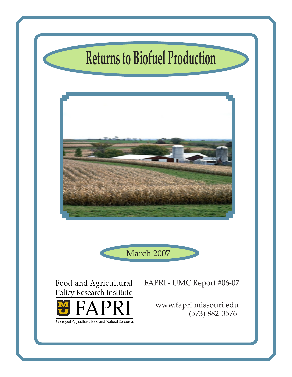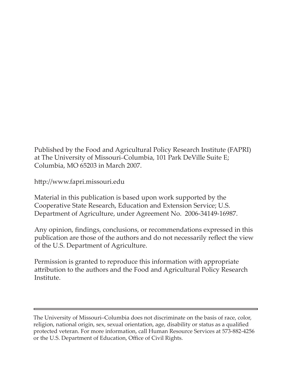Published by the Food and Agricultural Policy Research Institute (FAPRI) at The University of Missouri–Columbia, 101 Park DeVille Suite E; Columbia, MO 65203 in March 2007.

http://www.fapri.missouri.edu

Material in this publication is based upon work supported by the Cooperative State Research, Education and Extension Service; U.S. Department of Agriculture, under Agreement No. 2006-34149-16987.

Any opinion, findings, conclusions, or recommendations expressed in this publication are those of the authors and do not necessarily reflect the view of the U.S. Department of Agriculture.

Permission is granted to reproduce this information with appropriate attribution to the authors and the Food and Agricultural Policy Research Institute.

The University of Missouri–Columbia does not discriminate on the basis of race, color, religion, national origin, sex, sexual orientation, age, disability or status as a qualified protected veteran. For more information, call Human Resource Services at 573-882-4256 or the U.S. Department of Education, Office of Civil Rights.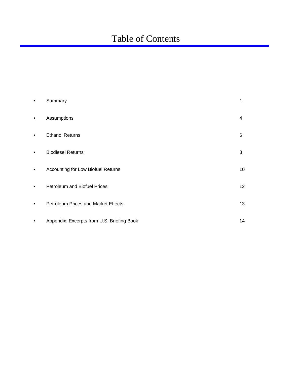# Table of Contents

| $\bullet$ | Summary                                    | 1  |
|-----------|--------------------------------------------|----|
| $\bullet$ | Assumptions                                | 4  |
| ٠         | <b>Ethanol Returns</b>                     | 6  |
| $\bullet$ | <b>Biodiesel Returns</b>                   | 8  |
| $\bullet$ | Accounting for Low Biofuel Returns         | 10 |
| ٠         | <b>Petroleum and Biofuel Prices</b>        | 12 |
|           | <b>Petroleum Prices and Market Effects</b> | 13 |
|           | Appendix: Excerpts from U.S. Briefing Book | 14 |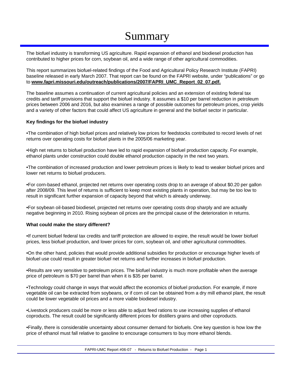# Summary

The biofuel industry is transforming US agriculture. Rapid expansion of ethanol and biodiesel production has contributed to higher prices for corn, soybean oil, and a wide range of other agricultural commodities.

This report summarizes biofuel-related findings of the Food and Agricultural Policy Research Institute (FAPRI) baseline released in early March 2007. That report can be found on the FAPRI website, under "publications" or go to www.fapri.missouri.edu/outreach/publications/2007/FAPRI\_UMC\_Report\_02\_07.pdf.

The baseline assumes a continuation of current agricultural policies and an extension of existing federal tax credits and tariff provisions that support the biofuel industry. It assumes a \$10 per barrel reduction in petroleum prices between 2006 and 2016, but also examines a range of possible outcomes for petroleum prices, crop yields and a variety of other factors that could affect US agriculture in general and the biofuel sector in particular.

### **Key findings for the biofuel industry**

•The combination of high biofuel prices and relatively low prices for feedstocks contributed to record levels of net returns over operating costs for biofuel plants in the 2005/06 marketing year.

•High net returns to biofuel production have led to rapid expansion of biofuel production capacity. For example, ethanol plants under construction could double ethanol production capacity in the next two years.

•The combination of increased production and lower petroleum prices is likely to lead to weaker biofuel prices and lower net returns to biofuel producers.

•For corn-based ethanol, projected net returns over operating costs drop to an average of about \$0.20 per gallon after 2008/09. This level of returns is sufficient to keep most existing plants in operation, but may be too low to result in significant further expansion of capacity beyond that which is already underway.

•For soybean oil-based biodiesel, projected net returns over operating costs drop sharply and are actually negative beginning in 2010. Rising soybean oil prices are the principal cause of the deterioration in returns.

### **What could make the story different?**

•If current biofuel federal tax credits and tariff protection are allowed to expire, the result would be lower biofuel prices, less biofuel production, and lower prices for corn, soybean oil, and other agricultural commodities.

•On the other hand, policies that would provide additional subsidies for production or encourage higher levels of biofuel use could result in greater biofuel net returns and further increases in biofuel production.

•Results are very sensitive to petroleum prices. The biofuel industry is much more profitable when the average price of petroleum is \$70 per barrel than when it is \$35 per barrel.

•Technology could change in ways that would affect the economics of biofuel production. For example, if more vegetable oil can be extracted from soybeans, or if corn oil can be obtained from a dry mill ethanol plant, the result could be lower vegetable oil prices and a more viable biodiesel industry.

•Livestock producers could be more or less able to adjust feed rations to use increasing supplies of ethanol coproducts. The result could be significantly different prices for distillers grains and other coproducts.

•Finally, there is considerable uncertainty about consumer demand for biofuels. One key question is how low the price of ethanol must fall relative to gasoline to encourage consumers to buy more ethanol blends.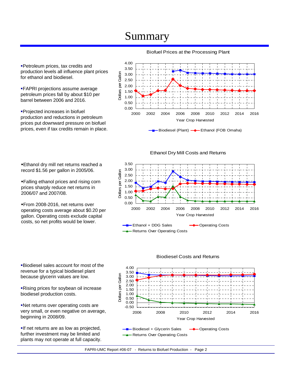# Summary

4.00 Petroleum prices, tax credits and 3.50 production levels all influence plant prices Dollars per Gallon Dollars per Gallon 3.00 for ethanol and biodiesel. 2.50 2.00 FAPRI projections assume average 1.50 petroleum prices fall by about \$10 per 1.00 barrel between 2006 and 2016. 0.50 0.00

Projected increases in biofuel production and reductions in petroleum prices put downward pressure on biofuel prices, even if tax credits remain in place.

## Biofuel Prices at the Processing Plant

Ethanol dry mill net returns reached a record \$1.56 per gallon in 2005/06.

Falling ethanol prices and rising corn prices sharply reduce net returns in 2006/07 and 2007/08.

From 2008-2016, net returns over operating costs average about \$0.20 per gallon. Operating costs exclude capital costs, so net profits would be lower.

Biodiesel sales account for most of the revenue for a typical biodiesel plant because glycerin values are low.

Rising prices for soybean oil increase biodiesel production costs.

Net returns over operating costs are very small, or even negative on average, beginning in 2008/09.

**If net returns are as low as projected,** further investment may be limited and plants may not operate at full capacity.



#### 3.00 Dollars per Gallon Dollars per Gallon 2.50 2.00 1.50 1.00 0.50 0.00 2000 2002 2004 2006 2008 2010 2012 2014 2016 Year Crop Harvested **-B**-Ethanol + DDG Sales **-** - Operating Costs - Returns Over Operating Costs

Biodiesel Costs and Returns



2000 2002 2004 2006 2008 2010 2012 2014 2016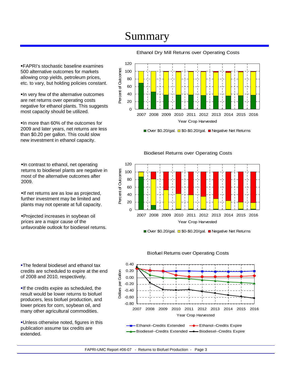# Summary

FAPRI's stochastic baseline examines 500 alternative outcomes for markets allowing crop yields, petroleum prices, etc. to vary, but holding policies constant.

In very few of the alternative outcomes are net returns over operating costs negative for ethanol plants. This suggests most capacity should be utilized.

In more than 60% of the outcomes for 2009 and later years, net returns are less than \$0.20 per gallon. This could slow new investment in ethanol capacity.

In contrast to ethanol, net operating returns to biodiesel plants are negative in most of the alternative outcomes after 2009.

If net returns are as low as projected, further investment may be limited and plants may not operate at full capacity.

Projected increases in soybean oil prices are a major cause of the unfavorable outlook for biodiesel returns.

**-The federal biodiesel and ethanol tax** credits are scheduled to expire at the end of 2008 and 2010, respectively.

**If the credits expire as scheduled, the** result would be lower returns to biofuel producers, less biofuel production, and lower prices for corn, soybean oil, and many other agricultural commodities.

Unless otherwise noted, figures in this publication assume tax credits are extended.



Ethanol Dry Mill Returns over Operating Costs

Over \$0.20/gal.  $\Box$  \$0-\$0.20/gal.  $\Box$  Negative Net Returns



Biodiesel Returns over Operating Costs

■ Over \$0.20/gal. ■ \$0-\$0.20/gal. ■ Negative Net Returns



#### Biofuel Returns over Operating Costs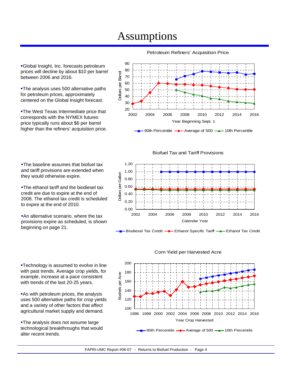# Assumptions

90 80 Dollars per Barrel Dollars per Barrel 70 60 50 40 30 20 2002 2004 2006 2008 2010 2012 2014 2016 Year Beginning Sept. 1

90th Percentile  $\rightarrow$  Average of 500  $\rightarrow$  10th Percentile

Biofuel Tax and Tariff Provisions



Biodiesel Tax Credit **-** Ethanol Specific Tariff - Ethanol Tax Credit

Corn Yield per Harvested Acre





Global Insight, Inc. forecasts petroleum prices will decline by about \$10 per barrel between 2006 and 2016.

**-The analysis uses 500 alternative paths** for petroleum prices, approximately centered on the Global Insight forecast.

**-The West Texas Intermediate price that** corresponds with the NYMEX futures price typically runs about \$6 per barrel higher than the refiners' acquisition price.

**-The baseline assumes that biofuel tax** and tariff provisions are extended when they would otherwise expire.

**-The ethanol tariff and the biodiesel tax** credit are due to expire at the end of 2008. The ethanol tax credit is scheduled to expire at the end of 2010.

**An alternative scenario, where the tax** provisions expire as scheduled, is shown beginning on page 21.

**-Technology is assumed to evolve in line** with past trends. Average crop yields, for example, increase at a pace consistent with trends of the last 20-25 years.

**As with petroleum prices, the analysis** uses 500 alternative paths for crop yields and a variety of other factors that affect agricultural market supply and demand.

**-The analysis does not assume large** technological breakthroughs that would alter recent trends.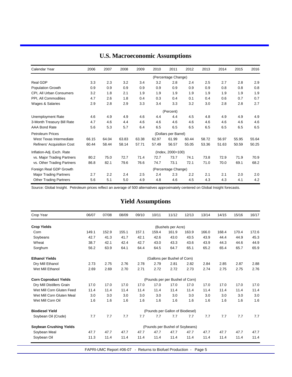| Calendar Year                     | 2006  | 2007  | 2008  | 2009  | 2010  | 2011                 | 2012  | 2013  | 2014  | 2015  | 2016  |
|-----------------------------------|-------|-------|-------|-------|-------|----------------------|-------|-------|-------|-------|-------|
|                                   |       |       |       |       |       | (Percentage Change)  |       |       |       |       |       |
| Real GDP                          | 3.3   | 2.3   | 3.2   | 3.4   | 3.2   | 2.8                  | 2.4   | 2.5   | 2.7   | 2.8   | 2.9   |
| Population Growth                 | 0.9   | 0.9   | 0.9   | 0.9   | 0.9   | 0.9                  | 0.9   | 0.9   | 0.8   | 0.8   | 0.8   |
| CPI, All Urban Consumers          | 3.2   | 1.8   | 2.1   | 1.9   | 1.9   | 1.9                  | 1.9   | 1.9   | 1.9   | 1.9   | 1.9   |
| PPI, All Commodities              | 4.7   | 2.6   | 1.8   | 0.4   | 0.3   | 0.4                  | 0.1   | 0.4   | 0.6   | 0.7   | 0.7   |
| Wages & Salaries                  | 2.9   | 2.8   | 2.9   | 3.3   | 3.4   | 3.3                  | 3.2   | 3.0   | 2.8   | 2.8   | 2.7   |
|                                   |       |       |       |       |       | (Percent)            |       |       |       |       |       |
| <b>Unemployment Rate</b>          | 4.6   | 4.9   | 4.9   | 4.6   | 4.4   | 4.4                  | 4.5   | 4.8   | 4.9   | 4.9   | 4.9   |
| 3-Month Treasury Bill Rate        | 4.7   | 4.6   | 4.4   | 4.6   | 4.6   | 4.6                  | 4.6   | 4.6   | 4.6   | 4.6   | 4.6   |
| AAA Bond Rate                     | 5.6   | 5.3   | 5.7   | 6.4   | 6.5   | 6.5                  | 6.5   | 6.5   | 6.5   | 6.5   | 6.5   |
| <b>Petroleum Prices</b>           |       |       |       |       |       | (Dollars per Barrel) |       |       |       |       |       |
| West Texas Intermediate           | 66.15 | 64.04 | 63.83 | 63.38 | 62.97 | 61.99                | 60.44 | 58.72 | 56.97 | 55.95 | 55.64 |
| <b>Refiners' Acquisition Cost</b> | 60.44 | 58.44 | 58.14 | 57.71 | 57.49 | 56.57                | 55.05 | 53.36 | 51.63 | 50.59 | 50.25 |
| Inflation-Adj. Exch. Rate         |       |       |       |       |       | (Index, 2000=100)    |       |       |       |       |       |
| vs. Major Trading Partners        | 80.2  | 75.0  | 72.7  | 71.4  | 72.7  | 73.7                 | 74.1  | 73.8  | 72.9  | 71.9  | 70.9  |
| vs. Other Trading Partners        | 86.8  | 82.1  | 79.6  | 76.6  | 74.7  | 73.1                 | 72.1  | 71.0  | 70.0  | 69.1  | 68.2  |
| Foreign Real GDP Growth           |       |       |       |       |       | (Percentage Change)  |       |       |       |       |       |
| <b>Major Trading Partners</b>     | 2.7   | 2.2   | 2.4   | 2.5   | 2.4   | 2.3                  | 2.2   | 2.1   | 2.1   | 2.0   | 2.0   |
| <b>Other Trading Partners</b>     | 5.6   | 5.1   | 5.0   | 4.9   | 4.8   | 4.6                  | 4.5   | 4.3   | 4.3   | 4.1   | 4.2   |

## **U.S. Macroeconomic Assumptions**

Source: Global Insight. Petroleum prices reflect an average of 500 alternatives approximately centered on Global Insight forecasts.

## **Yield Assumptions**

| Crop Year                      | 06/07 | 07/08 | 08/09 | 09/10 | 10/11 | 11/12                            | 12/13                           | 13/14 | 14/15 | 15/16 | 16/17 |
|--------------------------------|-------|-------|-------|-------|-------|----------------------------------|---------------------------------|-------|-------|-------|-------|
| <b>Crop Yields</b>             |       |       |       |       |       | (Bushels per Acre)               |                                 |       |       |       |       |
| Corn                           | 149.1 | 152.9 | 155.1 | 157.1 | 159.4 | 161.9                            | 163.9                           | 166.0 | 168.4 | 170.4 | 172.6 |
| Soybeans                       | 42.7  | 41.3  | 41.7  | 42.1  | 42.6  | 43.0                             | 43.5                            | 43.9  | 44.4  | 44.9  | 45.3  |
| Wheat                          | 38.7  | 42.1  | 42.4  | 42.7  | 43.0  | 43.3                             | 43.6                            | 43.9  | 44.3  | 44.6  | 44.9  |
| Sorghum                        | 56.2  | 63.9  | 64.1  | 64.4  | 64.5  | 64.7                             | 65.1                            | 65.2  | 65.4  | 65.7  | 65.9  |
| <b>Ethanol Yields</b>          |       |       |       |       |       | (Gallons per Bushel of Corn)     |                                 |       |       |       |       |
| Dry Mill Ethanol               | 2.73  | 2.75  | 2.76  | 2.78  | 2.79  | 2.81                             | 2.82                            | 2.84  | 2.85  | 2.87  | 2.88  |
| Wet Mill Ethanol               | 2.69  | 2.69  | 2.70  | 2.71  | 2.72  | 2.72                             | 2.73                            | 2.74  | 2.75  | 2.75  | 2.76  |
| <b>Corn Coproduct Yields</b>   |       |       |       |       |       | (Pounds per per Bushel of Corn)  |                                 |       |       |       |       |
| Dry Mill Distillers Grain      | 17.0  | 17.0  | 17.0  | 17.0  | 17.0  | 17.0                             | 17.0                            | 17.0  | 17.0  | 17.0  | 17.0  |
| Wet Mill Corn Gluten Feed      | 11.4  | 11.4  | 11.4  | 11.4  | 11.4  | 11.4                             | 11.4                            | 11.4  | 11.4  | 11.4  | 11.4  |
| Wet Mill Corn Gluten Meal      | 3.0   | 3.0   | 3.0   | 3.0   | 3.0   | 3.0                              | 3.0                             | 3.0   | 3.0   | 3.0   | 3.0   |
| Wet Mill Corn Oil              | 1.6   | 1.6   | 1.6   | 1.6   | 1.6   | 1.6                              | 1.6                             | 1.6   | 1.6   | 1.6   | 1.6   |
| <b>Biodiesel Yield</b>         |       |       |       |       |       | (Pounds per Gallon of Biodiesel) |                                 |       |       |       |       |
| Soybean Oil (Crude)            | 7.7   | 7.7   | 7.7   | 7.7   | 7.7   | 7.7                              | 7.7                             | 7.7   | 7.7   | 7.7   | 7.7   |
| <b>Soybean Crushing Yields</b> |       |       |       |       |       |                                  | (Pounds per Bushel of Soybeans) |       |       |       |       |
| Soybean Meal                   | 47.7  | 47.7  | 47.7  | 47.7  | 47.7  | 47.7                             | 47.7                            | 47.7  | 47.7  | 47.7  | 47.7  |
| Soybean Oil                    | 11.3  | 11.4  | 11.4  | 11.4  | 11.4  | 11.4                             | 11.4                            | 11.4  | 11.4  | 11.4  | 11.4  |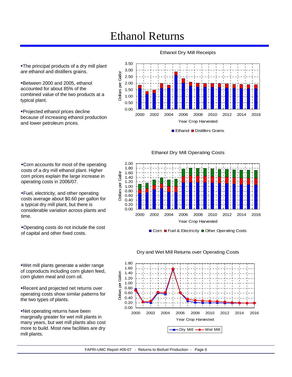# Ethanol Returns

Dollars per Gallor

Dollars per Gallor

**-The principal products of a dry mill plant** are ethanol and distillers grains.

Between 2000 and 2005, ethanol accounted for about 85% of the combined value of the two products at a typical plant.

**Projected ethanol prices decline** because of increasing ethanol production and lower petroleum prices.

Ethanol Dry Mill Receipts



Ethanol Distillers Grains

Corn accounts for most of the operating costs of a dry mill ethanol plant. Higher corn prices explain the large increase in operating costs in 2006/07.

Fuel, electricity, and other operating costs average about \$0.60 per gallon for a typical dry mill plant, but there is considerable variation across plants and time.

Operating costs do not include the cost of capital and other fixed costs.

Wet mill plants generate a wider range of coproducts including corn gluten feed,

Recent and projected net returns over operating costs show similar patterns for

Net operating returns have been marginally greater for wet mill plants in many years, but wet mill plants also cost more to build. Most new facilities are dry

corn gluten meal and corn oil.

the two types of plants.

mill plants.

### Ethanol Dry Mill Operating Costs



Corn Fuel & Electricity Other Operating Costs



### Dry and Wet Mill Returns over Operating Costs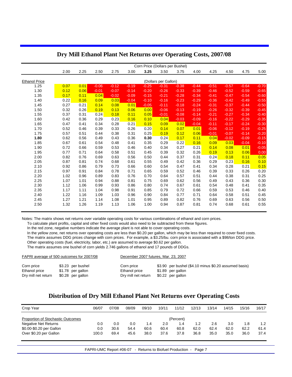|                      |      |      |         |         |         | Corn Price (Dollars per Bushel) |                      |         |         |         |         |         |         |
|----------------------|------|------|---------|---------|---------|---------------------------------|----------------------|---------|---------|---------|---------|---------|---------|
|                      | 2.00 | 2.25 | 2.50    | 2.75    | 3.00    | 3.25                            | 3.50                 | 3.75    | 4.00    | 4.25    | 4.50    | 4.75    | 5.00    |
|                      |      |      |         |         |         |                                 |                      |         |         |         |         |         |         |
| <b>Ethanol Price</b> |      |      |         |         |         |                                 | (Dollars per Gallon) |         |         |         |         |         |         |
| 1.25                 | 0.07 | 0.01 | $-0.06$ | $-0.12$ | $-0.19$ | $-0.25$                         | $-0.31$              | $-0.38$ | $-0.44$ | $-0.51$ | $-0.57$ | $-0.64$ | $-0.70$ |
| 1.30                 | 0.12 | 0.06 | $-0.01$ | $-0.07$ | $-0.14$ | $-0.20$                         | $-0.26$              | $-0.33$ | $-0.39$ | $-0.46$ | $-0.52$ | $-0.59$ | $-0.65$ |
| 1.35                 | 0.17 | 0.11 | 0.04    | $-0.02$ | $-0.09$ | $-0.15$                         | $-0.21$              | $-0.28$ | $-0.34$ | $-0.41$ | $-0.47$ | $-0.54$ | $-0.60$ |
| 1.40                 | 0.22 | 0.16 | 0.09    | 0.03    | $-0.04$ | $-0.10$                         | $-0.16$              | $-0.23$ | $-0.29$ | $-0.36$ | $-0.42$ | $-0.49$ | $-0.55$ |
| 1.45                 | 0.27 | 0.21 | 0.14    | 0.08    | 0.01    | $-0.05$                         | $-0.11$              | $-0.18$ | $-0.24$ | $-0.31$ | $-0.37$ | $-0.44$ | $-0.50$ |
| 1.50                 | 0.32 | 0.26 | 0.19    | 0.13    | 0.06    | 0.00                            | $-0.06$              | $-0.13$ | $-0.19$ | $-0.26$ | $-0.32$ | $-0.39$ | $-0.45$ |
| 1.55                 | 0.37 | 0.31 | 0.24    | 0.18    | 0.11    | 0.05                            | $-0.01$              | $-0.08$ | $-0.14$ | $-0.21$ | $-0.27$ | $-0.34$ | $-0.40$ |
| 1.60                 | 0.42 | 0.36 | 0.29    | 0.23    | 0.16    | 0.10                            | 0.04                 | $-0.03$ | $-0.09$ | $-0.16$ | $-0.22$ | $-0.29$ | $-0.35$ |
| 1.65                 | 0.47 | 0.41 | 0.34    | 0.28    | 0.21    | 0.15                            | 0.09                 | 0.02    | $-0.04$ | $-0.11$ | $-0.17$ | $-0.24$ | $-0.30$ |
| 1.70                 | 0.52 | 0.46 | 0.39    | 0.33    | 0.26    | 0.20                            | 0.14                 | 0.07    | 0.01    | $-0.06$ | $-0.12$ | $-0.19$ | $-0.25$ |
| 1.75                 | 0.57 | 0.51 | 0.44    | 0.38    | 0.31    | 0.25                            | 0.19                 | 0.12    | 0.06    | $-0.01$ | $-0.07$ | $-0.14$ | $-0.20$ |
| 1.80                 | 0.62 | 0.56 | 0.49    | 0.43    | 0.36    | 0.30                            | 0.24                 | 0.17    | 0.11    | 0.04    | $-0.02$ | $-0.09$ | $-0.15$ |
| 1.85                 | 0.67 | 0.61 | 0.54    | 0.48    | 0.41    | 0.35                            | 0.29                 | 0.22    | 0.16    | 0.09    | 0.03    | $-0.04$ | $-0.10$ |
| 1.90                 | 0.72 | 0.66 | 0.59    | 0.53    | 0.46    | 0.40                            | 0.34                 | 0.27    | 0.21    | 0.14    | 0.08    | 0.01    | $-0.05$ |
| 1.95                 | 0.77 | 0.71 | 0.64    | 0.58    | 0.51    | 0.45                            | 0.39                 | 0.32    | 0.26    | 0.19    | 0.13    | 0.06    | 0.00    |
| 2.00                 | 0.82 | 0.76 | 0.69    | 0.63    | 0.56    | 0.50                            | 0.44                 | 0.37    | 0.31    | 0.24    | 0.18    | 0.11    | 0.05    |
| 2.05                 | 0.87 | 0.81 | 0.74    | 0.68    | 0.61    | 0.55                            | 0.49                 | 0.42    | 0.36    | 0.29    | 0.23    | 0.16    | 0.10    |
| 2.10                 | 0.92 | 0.86 | 0.79    | 0.73    | 0.66    | 0.60                            | 0.54                 | 0.47    | 0.41    | 0.34    | 0.28    | 0.21    | 0.15    |
| 2.15                 | 0.97 | 0.91 | 0.84    | 0.78    | 0.71    | 0.65                            | 0.59                 | 0.52    | 0.46    | 0.39    | 0.33    | 0.26    | 0.20    |
| 2.20                 | 1.02 | 0.96 | 0.89    | 0.83    | 0.76    | 0.70                            | 0.64                 | 0.57    | 0.51    | 0.44    | 0.38    | 0.31    | 0.25    |
| 2.25                 | 1.07 | 1.01 | 0.94    | 0.88    | 0.81    | 0.75                            | 0.69                 | 0.62    | 0.56    | 0.49    | 0.43    | 0.36    | 0.30    |
| 2.30                 | 1.12 | 1.06 | 0.99    | 0.93    | 0.86    | 0.80                            | 0.74                 | 0.67    | 0.61    | 0.54    | 0.48    | 0.41    | 0.35    |
| 2.35                 | 1.17 | 1.11 | 1.04    | 0.98    | 0.91    | 0.85                            | 0.79                 | 0.72    | 0.66    | 0.59    | 0.53    | 0.46    | 0.40    |
| 2.40                 | 1.22 | 1.16 | 1.09    | 1.03    | 0.96    | 0.90                            | 0.84                 | 0.77    | 0.71    | 0.64    | 0.58    | 0.51    | 0.45    |
| 2.45                 | 1.27 | 1.21 | 1.14    | 1.08    | 1.01    | 0.95                            | 0.89                 | 0.82    | 0.76    | 0.69    | 0.63    | 0.56    | 0.50    |
| 2.50                 | 1.32 | 1.26 | 1.19    | 1.13    | 1.06    | 1.00                            | 0.94                 | 0.87    | 0.81    | 0.74    | 0.68    | 0.61    | 0.55    |
|                      |      |      |         |         |         |                                 |                      |         |         |         |         |         |         |

### **Dry Mill Ethanol Plant Net Returns over Operating Costs, 2007/08**

Notes: The matrix shows net returns over variable operating costs for various combinations of ethanol and corn prices.

To calculate plant profits, capital and other fixed costs would also need to be subtracted from these figures.

In the red zone, negative numbers indicate the average plant is not able to cover operating costs.

In the yellow zone, net returns over operating costs are less than \$0.20 per gallon, which may be less than required to cover fixed costs.

The matrix assumes DDG prices change with corn prices. For example, a \$3.25/bu. corn price is associated with a \$98/ton DDG price.

 Other operating costs (fuel, electricity, labor, etc.) are assumed to average \$0.62 per gallon. The matrix assumes one bushel of corn yields 2.746 gallons of ethanol and 17 pounds of DDGs.

| FAPRI average of 500 outcomes for 2007/08 |                   | December 2007 futures, Mar. 23, 2007 |                                                       |
|-------------------------------------------|-------------------|--------------------------------------|-------------------------------------------------------|
| Corn price                                | \$3.23 per bushel | Corn price                           | \$3.90 per bushel (\$4.10 minus \$0.20 assumed basis) |
| Ethanol price                             | \$1.78 per gallon | Ethanol price                        | \$1.89 per gallon                                     |
| Dry mill net return                       | \$0.28 per gallon | Dry mill net return                  | \$0.22 per gallon                                     |

### **Distribution of Dry Mill Ethanol Plant Net Returns over Operating Costs**

| Crop Year                                                                                                       | 06/07               | 07/08               | 08/09               | 09/10               | 10/11               | 11/12                            | 12/13               | 13/14               | 14/15               | 15/16               | 16/17               |
|-----------------------------------------------------------------------------------------------------------------|---------------------|---------------------|---------------------|---------------------|---------------------|----------------------------------|---------------------|---------------------|---------------------|---------------------|---------------------|
| Proportion of Stochastic Outcomes<br>Negative Net Returns<br>\$0.00-\$0.20 per Gallon<br>Over \$0.20 per Gallon | 0.0<br>0.0<br>100.0 | 0.0<br>30.6<br>69.4 | 0.0<br>54.4<br>45.6 | 1.4<br>60.6<br>38.0 | 2.0<br>60.4<br>37.6 | (Percent)<br>1.4<br>60.8<br>37.8 | 1.2<br>62.0<br>36.8 | 2.6<br>62.4<br>35.0 | 3.0<br>62.0<br>35.0 | 1.8<br>62.2<br>36.0 | 1.2<br>61.4<br>37.4 |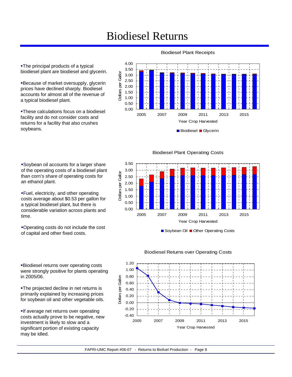# Biodiesel Returns

**-The principal products of a typical** biodiesel plant are biodiesel and glycerin.

**Because of market oversupply, glycerin** prices have declined sharply. Biodiesel accounts for almost all of the revenue of a typical biodiesel plant.

These calculations focus on a biodiesel facility and do not consider costs and returns for a facility that also crushes soybeans.

Soybean oil accounts for a larger share of the operating costs of a biodiesel plant than corn's share of operating costs for an ethanol plant.

Fuel, electricity, and other operating costs average about \$0.53 per gallon for a typical biodiesel plant, but there is considerable variation across plants and time.

Operating costs do not include the cost of capital and other fixed costs.

Biodiesel returns over operating costs were strongly positive for plants operating in 2005/06.

The projected decline in net returns is primarily explained by increasing prices for soybean oil and other vegetable oils.

**If average net returns over operating** costs actually prove to be negative, new investment is likely to slow and a significant portion of existing capacity may be idled.

### Biodiesel Plant Receipts



Biodiesel Plant Operating Costs



Soybean Oil Other Operating Costs



### Biodiesel Returns over Operating Costs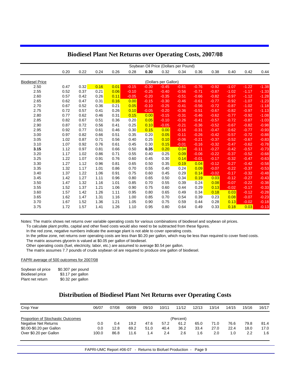|                        |      |      |      |      |         | Soybean Oil Price (Dollars per Pound) |                      |         |         |         |         |         |         |
|------------------------|------|------|------|------|---------|---------------------------------------|----------------------|---------|---------|---------|---------|---------|---------|
|                        | 0.20 | 0.22 | 0.24 | 0.26 | 0.28    | 0.30                                  | 0.32                 | 0.34    | 0.36    | 0.38    | 0.40    | 0.42    | 0.44    |
| <b>Biodiesel Price</b> |      |      |      |      |         |                                       | (Dollars per Gallon) |         |         |         |         |         |         |
| 2.50                   | 0.47 | 0.32 | 0.16 | 0.01 | $-0.15$ | $-0.30$                               | $-0.45$              | $-0.61$ | $-0.76$ | $-0.92$ | $-1.07$ | $-1.22$ | $-1.38$ |
| 2.55                   | 0.52 | 0.37 | 0.21 | 0.06 | $-0.10$ | $-0.25$                               | $-0.40$              | $-0.56$ | $-0.71$ | $-0.87$ | $-1.02$ | $-1.17$ | $-1.33$ |
| 2.60                   | 0.57 | 0.42 | 0.26 | 0.11 | $-0.05$ | $-0.20$                               | $-0.35$              | $-0.51$ | $-0.66$ | $-0.82$ | $-0.97$ | $-1.12$ | $-1.28$ |
| 2.65                   | 0.62 | 0.47 | 0.31 | 0.16 | 0.00    | $-0.15$                               | $-0.30$              | $-0.46$ | $-0.61$ | $-0.77$ | $-0.92$ | $-1.07$ | $-1.23$ |
| 2.70                   | 0.67 | 0.52 | 0.36 | 0.21 | 0.05    | $-0.10$                               | $-0.25$              | $-0.41$ | $-0.56$ | $-0.72$ | $-0.87$ | $-1.02$ | $-1.18$ |
| 2.75                   | 0.72 | 0.57 | 0.41 | 0.26 | 0.10    | $-0.05$                               | $-0.20$              | $-0.36$ | $-0.51$ | $-0.67$ | $-0.82$ | $-0.97$ | $-1.13$ |
| 2.80                   | 0.77 | 0.62 | 0.46 | 0.31 | 0.15    | 0.00                                  | $-0.15$              | $-0.31$ | $-0.46$ | $-0.62$ | $-0.77$ | $-0.92$ | $-1.08$ |
| 2.85                   | 0.82 | 0.67 | 0.51 | 0.36 | 0.20    | 0.05                                  | $-0.10$              | $-0.26$ | $-0.41$ | $-0.57$ | $-0.72$ | $-0.87$ | $-1.03$ |
| 2.90                   | 0.87 | 0.72 | 0.56 | 0.41 | 0.25    | 0.10                                  | $-0.05$              | $-0.21$ | $-0.36$ | $-0.52$ | $-0.67$ | $-0.82$ | $-0.98$ |
| 2.95                   | 0.92 | 0.77 | 0.61 | 0.46 | 0.30    | 0.15                                  | 0.00                 | $-0.16$ | $-0.31$ | $-0.47$ | $-0.62$ | $-0.77$ | $-0.93$ |
| 3.00                   | 0.97 | 0.82 | 0.66 | 0.51 | 0.35    | 0.20                                  | 0.05                 | $-0.11$ | $-0.26$ | $-0.42$ | $-0.57$ | $-0.72$ | $-0.88$ |
| 3.05                   | 1.02 | 0.87 | 0.71 | 0.56 | 0.40    | 0.25                                  | 0.10                 | $-0.06$ | $-0.21$ | $-0.37$ | $-0.52$ | $-0.67$ | $-0.83$ |
| 3.10                   | 1.07 | 0.92 | 0.76 | 0.61 | 0.45    | 0.30                                  | 0.15                 | $-0.01$ | $-0.16$ | $-0.32$ | $-0.47$ | $-0.62$ | $-0.78$ |
| 3.15                   | 1.12 | 0.97 | 0.81 | 0.66 | 0.50    | 0.35                                  | 0.20                 | 0.04    | $-0.11$ | $-0.27$ | $-0.42$ | $-0.57$ | $-0.73$ |
| 3.20                   | 1.17 | 1.02 | 0.86 | 0.71 | 0.55    | 0.40                                  | 0.25                 | 0.09    | $-0.06$ | $-0.22$ | $-0.37$ | $-0.52$ | $-0.68$ |
| 3.25                   | 1.22 | 1.07 | 0.91 | 0.76 | 0.60    | 0.45                                  | 0.30                 | 0.14    | $-0.01$ | $-0.17$ | $-0.32$ | $-0.47$ | $-0.63$ |
| 3.30                   | 1.27 | 1.12 | 0.96 | 0.81 | 0.65    | 0.50                                  | 0.35                 | 0.19    | 0.04    | $-0.12$ | $-0.27$ | $-0.42$ | $-0.58$ |
| 3.35                   | 1.32 | 1.17 | 1.01 | 0.86 | 0.70    | 0.55                                  | 0.40                 | 0.24    | 0.09    | $-0.07$ | $-0.22$ | $-0.37$ | $-0.53$ |
| 3.40                   | 1.37 | 1.22 | 1.06 | 0.91 | 0.75    | 0.60                                  | 0.45                 | 0.29    | 0.14    | $-0.02$ | $-0.17$ | $-0.32$ | $-0.48$ |
| 3.45                   | 1.42 | 1.27 | 1.11 | 0.96 | 0.80    | 0.65                                  | 0.50                 | 0.34    | 0.19    | 0.03    | $-0.12$ | $-0.27$ | $-0.43$ |
| 3.50                   | 1.47 | 1.32 | 1.16 | 1.01 | 0.85    | 0.70                                  | 0.55                 | 0.39    | 0.24    | 0.08    | $-0.07$ | $-0.22$ | $-0.38$ |
| 3.55                   | 1.52 | 1.37 | 1.21 | 1.06 | 0.90    | 0.75                                  | 0.60                 | 0.44    | 0.29    | 0.13    | $-0.02$ | $-0.17$ | $-0.33$ |
| 3.60                   | 1.57 | 1.42 | 1.26 | 1.11 | 0.95    | 0.80                                  | 0.65                 | 0.49    | 0.34    | 0.18    | 0.03    | $-0.12$ | $-0.28$ |
| 3.65                   | 1.62 | 1.47 | 1.31 | 1.16 | 1.00    | 0.85                                  | 0.70                 | 0.54    | 0.39    | 0.23    | 0.08    | $-0.07$ | $-0.23$ |
| 3.70                   | 1.67 | 1.52 | 1.36 | 1.21 | 1.05    | 0.90                                  | 0.75                 | 0.59    | 0.44    | 0.28    | 0.13    | $-0.02$ | $-0.18$ |
| 3.75                   | 1.72 | 1.57 | 1.41 | 1.26 | 1.10    | 0.95                                  | 0.80                 | 0.64    | 0.49    | 0.33    | 0.18    | 0.03    | $-0.13$ |

### **Biodiesel Plant Net Returns over Operating Costs, 2007/08**

Notes: The matrix shows net returns over variable operating costs for various combinations of biodiesel and soybean oil prices.

To calculate plant profits, capital and other fixed costs would also need to be subtracted from these figures.

In the red zone, negative numbers indicate the average plant is not able to cover operating costs.

 In the yellow zone, net returns over operating costs are less than \$0.20 per gallon, which may be less than required to cover fixed costs. The matrix assumes glycerin is valued at \$0.05 per gallon of biodiesel.

Other operating costs (fuel, electricity, labor, etc.) are assumed to average \$0.54 per gallon.

The matrix assumes 7.7 pounds of crude soybean oil are required to produce one gallon of biodiesel.

FAPRI average of 500 outcomes for 2007/08

| Soybean oil price | \$0.307 per pound |
|-------------------|-------------------|
| Biodiesel price   | \$3.17 per gallon |
| Plant net return  | \$0.32 per gallon |

### **Distribution of Biodiesel Plant Net Returns over Operating Costs**

| Crop Year                         | 06/07 | 07/08 | 08/09 | 09/10 | 10/11 | 11/12     | 12/13 | 13/14 | 14/15 | 15/16 | 16/17 |
|-----------------------------------|-------|-------|-------|-------|-------|-----------|-------|-------|-------|-------|-------|
| Proportion of Stochastic Outcomes |       |       |       |       |       | (Percent) |       |       |       |       |       |
| <b>Negative Net Returns</b>       | 0.0   | 0.4   | 19.2  | 47.6  | 57.2  | 61.2      | 65.0  | 71.0  | 76.6  | 79.8  | 81.4  |
| \$0.00-\$0.20 per Gallon          | 0.0   | 12.8  | 69.2  | 51.0  | 40.4  | 36.2      | 33.4  | 27.0  | 22.4  | 18.0  | 17.0  |
| Over \$0.20 per Gallon            | 100.0 | 86.8  | 11.6  | 1.4   | 2.4   | 2.6       | 1.6   | 2.0   | 1.0   | 2.2   | 1.6   |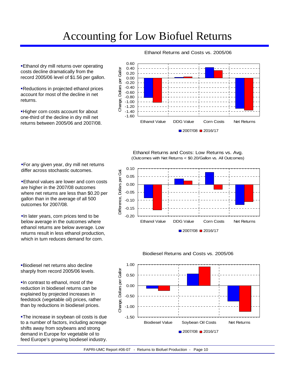# Accounting for Low Biofuel Returns

**Ethanol dry mill returns over operating** costs decline dramatically from the record 2005/06 level of \$1.56 per gallon.

Reductions in projected ethanol prices account for most of the decline in net returns.

**Higher corn costs account for about** one-third of the decline in dry mill net returns between 2005/06 and 2007/08.

#### Ethanol Returns and Costs vs. 2005/06



Ethanol Returns and Costs: Low Returns vs. Avg. (Outcomes with Net Returns < \$0.20/Gallon vs. All Outcomes)



For any given year, dry mill net returns differ across stochastic outcomes.

**Ethanol values are lower and corn costs** are higher in the 2007/08 outcomes where net returns are less than \$0.20 per gallon than in the average of all 500 outcomes for 2007/08.

**In later years, corn prices tend to be** below average in the outcomes where ethanol returns are below average. Low returns result in less ethanol production, which in turn reduces demand for corn.

Biodiesel net returns also decline sharply from record 2005/06 levels.

In contrast to ethanol, most of the reduction in biodiesel returns can be explained by projected increases in feedstock (vegetable oil) prices, rather than by reductions in biodiesel prices.

The increase in soybean oil costs is due to a number of factors, including acreage shifts away from soybeans and strong demand in Europe for vegetable oil to feed Europe's growing biodiesel industry.

#### Biodiesel Returns and Costs vs. 2005/06

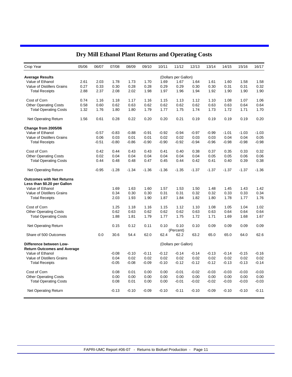| Crop Year                          | 05/06 | 06/07   | 07/08   | 08/09   | 09/10   | 10/11   | 11/12                | 12/13   | 13/14   | 14/15   | 15/16   | 16/17   |
|------------------------------------|-------|---------|---------|---------|---------|---------|----------------------|---------|---------|---------|---------|---------|
| <b>Average Results</b>             |       |         |         |         |         |         | (Dollars per Gallon) |         |         |         |         |         |
| Value of Ethanol                   | 2.61  | 2.03    | 1.78    | 1.73    | 1.70    | 1.69    | 1.67                 | 1.64    | 1.61    | 1.60    | 1.58    | 1.58    |
| <b>Value of Distillers Grains</b>  | 0.27  | 0.33    | 0.30    | 0.28    | 0.28    | 0.29    | 0.29                 | 0.30    | 0.30    | 0.31    | 0.31    | 0.32    |
| <b>Total Receipts</b>              | 2.88  | 2.37    | 2.08    | 2.02    | 1.98    | 1.97    | 1.96                 | 1.94    | 1.92    | 1.90    | 1.90    | 1.90    |
|                                    |       |         |         |         |         |         |                      |         |         |         |         |         |
| Cost of Corn                       | 0.74  | 1.16    | 1.18    | 1.17    | 1.16    | 1.15    | 1.13                 | 1.12    | 1.10    | 1.08    | 1.07    | 1.06    |
| <b>Other Operating Costs</b>       | 0.58  | 0.60    | 0.62    | 0.63    | 0.62    | 0.62    | 0.62                 | 0.62    | 0.63    | 0.63    | 0.64    | 0.64    |
| <b>Total Operating Costs</b>       | 1.32  | 1.76    | 1.80    | 1.80    | 1.79    | 1.77    | 1.75                 | 1.74    | 1.73    | 1.72    | 1.71    | 1.70    |
| <b>Net Operating Return</b>        | 1.56  | 0.61    | 0.28    | 0.22    | 0.20    | 0.20    | 0.21                 | 0.19    | 0.19    | 0.19    | 0.19    | 0.20    |
| Change from 2005/06                |       |         |         |         |         |         |                      |         |         |         |         |         |
| Value of Ethanol                   |       | $-0.57$ | $-0.83$ | $-0.88$ | $-0.91$ | $-0.92$ | $-0.94$              | $-0.97$ | $-0.99$ | $-1.01$ | $-1.03$ | $-1.03$ |
| Value of Distillers Grains         |       | 0.06    | 0.03    | 0.01    | 0.01    | 0.02    | 0.02                 | 0.03    | 0.03    | 0.04    | 0.04    | 0.05    |
| <b>Total Receipts</b>              |       | $-0.51$ | $-0.80$ | $-0.86$ | $-0.90$ | $-0.90$ | $-0.92$              | $-0.94$ | $-0.96$ | $-0.98$ | $-0.98$ | $-0.98$ |
|                                    |       |         |         |         |         |         |                      |         |         |         |         |         |
| Cost of Corn                       |       | 0.42    | 0.44    | 0.43    | 0.43    | 0.41    | 0.40                 | 0.38    | 0.37    | 0.35    | 0.33    | 0.32    |
| <b>Other Operating Costs</b>       |       | 0.02    | 0.04    | 0.04    | 0.04    | 0.04    | 0.04                 | 0.04    | 0.05    | 0.05    | 0.06    | 0.06    |
| <b>Total Operating Costs</b>       |       | 0.44    | 0.48    | 0.48    | 0.47    | 0.45    | 0.44                 | 0.42    | 0.41    | 0.40    | 0.39    | 0.38    |
| <b>Net Operating Return</b>        |       | $-0.95$ | $-1.28$ | $-1.34$ | $-1.36$ | $-1.36$ | $-1.35$              | $-1.37$ | $-1.37$ | $-1.37$ | $-1.37$ | $-1.36$ |
| <b>Outcomes with Net Returns</b>   |       |         |         |         |         |         |                      |         |         |         |         |         |
| Less than \$0.20 per Gallon        |       |         |         |         |         |         |                      |         |         |         |         |         |
| Value of Ethanol                   |       |         | 1.69    | 1.63    | 1.60    | 1.57    | 1.53                 | 1.50    | 1.48    | 1.45    | 1.43    | 1.42    |
| Value of Distillers Grains         |       |         | 0.34    | 0.30    | 0.30    | 0.31    | 0.31                 | 0.32    | 0.32    | 0.33    | 0.33    | 0.34    |
| <b>Total Receipts</b>              |       |         | 2.03    | 1.93    | 1.90    | 1.87    | 1.84                 | 1.82    | 1.80    | 1.78    | 1.77    | 1.76    |
|                                    |       |         |         |         |         |         |                      |         |         |         |         |         |
| Cost of Corn                       |       |         | 1.25    | 1.18    | 1.16    | 1.15    | 1.12                 | 1.10    | 1.08    | 1.05    | 1.04    | 1.02    |
| <b>Other Operating Costs</b>       |       |         | 0.62    | 0.63    | 0.62    | 0.62    | 0.62                 | 0.63    | 0.63    | 0.64    | 0.64    | 0.64    |
| <b>Total Operating Costs</b>       |       |         | 1.88    | 1.81    | 1.79    | 1.77    | 1.75                 | 1.72    | 1.71    | 1.69    | 1.68    | 1.67    |
|                                    |       |         |         |         |         |         |                      |         |         |         |         |         |
| <b>Net Operating Return</b>        |       |         | 0.15    | 0.12    | 0.11    | 0.10    | 0.10                 | 0.10    | 0.09    | 0.09    | 0.09    | 0.09    |
|                                    |       |         |         |         |         |         | (Percent)            |         |         |         |         |         |
| Share of 500 Outcomes              |       | 0.0     | 30.6    | 54.4    | 62.0    | 62.4    | 62.2                 | 63.2    | 65.0    | 65.0    | 64.0    | 62.6    |
| Difference between Low-            |       |         |         |         |         |         | (Dollars per Gallon) |         |         |         |         |         |
| <b>Return Outcomes and Average</b> |       |         |         |         |         |         |                      |         |         |         |         |         |
| Value of Ethanol                   |       |         | $-0.08$ | $-0.10$ | $-0.11$ | $-0.12$ | $-0.14$              | $-0.14$ | $-0.13$ | $-0.14$ | $-0.15$ | $-0.16$ |
| Value of Distillers Grains         |       |         | 0.04    | 0.02    | 0.02    | 0.02    | 0.02                 | 0.02    | 0.02    | 0.02    | 0.02    | 0.02    |
| <b>Total Receipts</b>              |       |         | $-0.05$ | $-0.08$ | $-0.09$ | $-0.10$ | $-0.12$              | $-0.12$ | $-0.12$ | $-0.13$ | $-0.13$ | $-0.14$ |
| Cost of Corn                       |       |         | 0.08    | 0.01    | 0.00    | 0.00    | $-0.01$              | $-0.02$ | $-0.03$ | $-0.03$ | $-0.03$ | $-0.03$ |
| <b>Other Operating Costs</b>       |       |         | 0.00    | 0.00    | 0.00    | 0.00    | 0.00                 | 0.00    | 0.00    | 0.00    | 0.00    | 0.00    |
| <b>Total Operating Costs</b>       |       |         | 0.08    | 0.01    | 0.00    | 0.00    | $-0.01$              | $-0.02$ | $-0.02$ | $-0.03$ | $-0.03$ | $-0.03$ |
|                                    |       |         |         |         |         |         |                      |         |         |         |         |         |
| <b>Net Operating Return</b>        |       |         | $-0.13$ | $-0.10$ | $-0.09$ | $-0.10$ | $-0.11$              | $-0.10$ | $-0.09$ | $-0.10$ | $-0.10$ | $-0.11$ |

## **Dry Mill Ethanol Plant Returns and Operating Costs**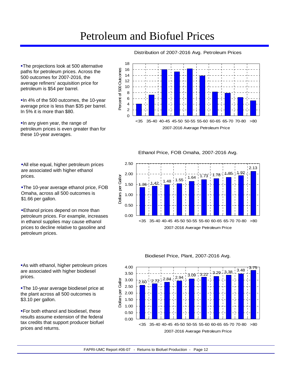# Petroleum and Biofuel Prices

**-The projections look at 500 alternative** paths for petroleum prices. Across the 500 outcomes for 2007-2016, the average refiners' acquisition price for petroleum is \$54 per barrel.

In 4% of the 500 outcomes, the 10-year average price is less than \$35 per barrel. In 5% it is more than \$80.

In any given year, the range of petroleum prices is even greater than for these 10-year averages.



Distribution of 2007-2016 Avg. Petroleum Prices

Ethanol Price, FOB Omaha, 2007-2016 Avg.



All else equal, higher petroleum prices are associated with higher ethanol prices.

The 10-year average ethanol price, FOB Omaha, across all 500 outcomes is \$1.66 per gallon.

**Ethanol prices depend on more than** petroleum prices. For example, increases in ethanol supplies may cause ethanol prices to decline relative to gasoline and petroleum prices.

**As with ethanol, higher petroleum prices** are associated with higher biodiesel prices.

The 10-year average biodiesel price at the plant across all 500 outcomes is \$3.10 per gallon.

**For both ethanol and biodiesel, these** results assume extension of the federal tax credits that support producer biofuel prices and returns.

### Biodiesel Price, Plant, 2007-2016 Avg.

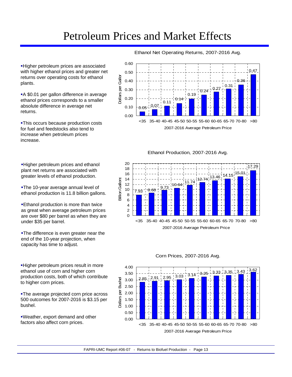Higher petroleum prices are associated with higher ethanol prices and greater net returns over operating costs for ethanol plants.

A \$0.01 per gallon difference in average ethanol prices corresponds to a smaller absolute difference in average net returns.

**-This occurs because production costs** for fuel and feedstocks also tend to increase when petroleum prices increase.

**-Higher petroleum prices and ethanol** plant net returns are associated with greater levels of ethanol production.

The 10-year average annual level of ethanol production is 11.8 billion gallons.

**Ethanol production is more than twice** as great when average petroleum prices are over \$80 per barrel as when they are under \$35 per barrel.

The difference is even greater near the end of the 10-year projection, when capacity has time to adjust.

**-Higher petroleum prices result in more** ethanol use of corn and higher corn production costs, both of which contribute to higher corn prices.

**-The average projected corn price across** 500 outcomes for 2007-2016 is \$3.15 per bushel.

Weather, export demand and other factors also affect corn prices.

Ethanol Net Operating Returns, 2007-2016 Avg.



Ethanol Production, 2007-2016 Avg.



#### 4.00  $\frac{1}{3.62}$ <br>2.85  $\frac{2.91}{2.95}$   $\frac{1}{3.03}$   $\frac{1}{3.03}$  3.14  $\frac{1}{3.25}$  3.33  $\frac{1}{3.35}$   $\frac{1}{3.43}$   $\frac{1}{3.43}$   $\frac{1}{3.62}$ <br>2.85  $\frac{1}{2.91}$   $\frac{1}{2.85}$   $\frac{1}{3.03}$   $\frac{1}{3.03}$   $\frac{1}{3.25}$   $\frac{1}{3.25}$   $\frac$ 3.50 3.00 2.50 2.00  $\frac{1}{1}$ 1.50 1.00 0.50 0.00 <35 35-40 40-45 45-50 50-55 55-60 60-65 65-70 70-80 >80 2007-2016 Average Petroleum Price

### Corn Prices, 2007-2016 Avg.

Dollars per Bushel

Dollars per Bushel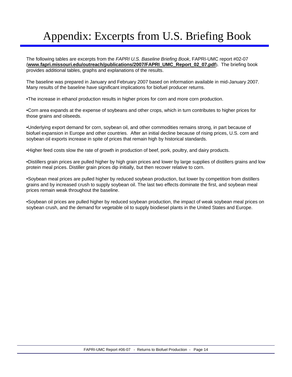# Appendix: Excerpts from U.S. Briefing Book

The following tables are excerpts from the *FAPRI U.S. Baseline Briefing Book*, FAPRI-UMC report #02-07 (**www.fapri.missouri.edu/outreach/publications/2007/FAPRI\_UMC\_Report\_02\_07.pdf**). The briefing book provides additional tables, graphs and explanations of the results.

The baseline was prepared in January and February 2007 based on information available in mid-January 2007. Many results of the baseline have significant implications for biofuel producer returns.

•The increase in ethanol production results in higher prices for corn and more corn production.

•Corn area expands at the expense of soybeans and other crops, which in turn contributes to higher prices for those grains and oilseeds.

•Underlying export demand for corn, soybean oil, and other commodities remains strong, in part because of biofuel expansion in Europe and other countries. After an initial decline because of rising prices, U.S. corn and soybean oil exports increase in spite of prices that remain high by historical standards.

•Higher feed costs slow the rate of growth in production of beef, pork, poultry, and dairy products.

•Distillers grain prices are pulled higher by high grain prices and lower by large supplies of distillers grains and low protein meal prices. Distiller grain prices dip initially, but then recover relative to corn.

•Soybean meal prices are pulled higher by reduced soybean production, but lower by competition from distillers grains and by increased crush to supply soybean oil. The last two effects dominate the first, and soybean meal prices remain weak throughout the baseline.

•Soybean oil prices are pulled higher by reduced soybean production, the impact of weak soybean meal prices on soybean crush, and the demand for vegetable oil to supply biodiesel plants in the United States and Europe.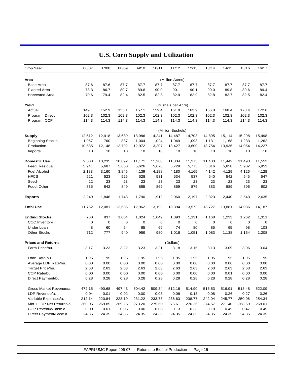| Crop Year                 |                          | 06/07  | 07/08  | 08/09  | 09/10  | 10/11  | 11/12              | 12/13  | 13/14  | 14/15  | 15/16  | 16/17  |
|---------------------------|--------------------------|--------|--------|--------|--------|--------|--------------------|--------|--------|--------|--------|--------|
| Area                      |                          |        |        |        |        |        | (Million Acres)    |        |        |        |        |        |
| Base Area                 |                          | 87.6   | 87.6   | 87.7   | 87.7   | 87.7   | 87.7               | 87.7   | 87.7   | 87.7   | 87.7   | 87.7   |
| <b>Planted Area</b>       |                          | 78.3   | 86.7   | 89.7   | 89.8   | 90.0   | 90.1               | 90.1   | 90.0   | 89.8   | 89.6   | 89.4   |
| <b>Harvested Area</b>     |                          | 70.6   | 79.4   | 82.4   | 82.5   | 82.8   | 82.9               | 82.9   | 82.8   | 82.7   | 82.5   | 82.4   |
| Yield                     |                          |        |        |        |        |        | (Bushels per Acre) |        |        |        |        |        |
| Actual                    |                          | 149.1  | 152.9  | 155.1  | 157.1  | 159.4  | 161.9              | 163.9  | 166.0  | 168.4  | 170.4  | 172.6  |
| Program, Direct           |                          | 102.3  | 102.3  | 102.3  | 102.3  | 102.3  | 102.3              | 102.3  | 102.3  | 102.3  | 102.3  | 102.3  |
| Program, CCP              |                          | 114.3  | 114.3  | 114.3  | 114.3  | 114.3  | 114.3              | 114.3  | 114.3  | 114.3  | 114.3  | 114.3  |
|                           |                          |        |        |        |        |        | (Million Bushels)  |        |        |        |        |        |
| Supply                    |                          | 12,512 | 12,918 | 13,639 | 13,986 | 14,241 | 14,487             | 14,703 | 14,895 | 15,114 | 15,298 | 15,498 |
| <b>Beginning Stocks</b>   |                          | 1,967  | 760    | 837    | 1,004  | 1,024  | 1,049              | 1,093  | 1,131  | 1,168  | 1,233  | 1,262  |
| Production                |                          | 10,535 | 12,148 | 12,792 | 12,972 | 13,207 | 13,427             | 13,600 | 13,754 | 13,936 | 14,054 | 14,227 |
| Imports                   |                          | 10     | 10     | 10     | 10     | 10     | 10                 | 10     | 10     | 10     | 10     | 10     |
| <b>Domestic Use</b>       |                          | 9,503  | 10,235 | 10,892 | 11,171 | 11,280 | 11,334             | 11,375 | 11,403 | 11,442 | 11,493 | 11,552 |
| Feed, Residual            |                          | 5,941  | 5,687  | 5,650  | 5,626  | 5,676  | 5,729              | 5,775  | 5,816  | 5,858  | 5,902  | 5,952  |
| <b>Fuel Alcohol</b>       |                          | 2,183  | 3,160  | 3,845  | 4,139  | 4,188  | 4,180              | 4,165  | 4,142  | 4,129  | 4,126  | 4,128  |
| <b>HFCS</b>               |                          | 521    | 523    | 525    | 528    | 531    | 534                | 537    | 540    | 542    | 545    | 547    |
| Seed                      |                          | 22     | 23     | 23     | 23     | 23     | 23                 | 23     | 23     | 23     | 23     | 23     |
| Food, Other               |                          | 835    | 842    | 849    | 855    | 862    | 869                | 876    | 883    | 889    | 896    | 902    |
| <b>Exports</b>            |                          | 2,249  | 1,846  | 1,743  | 1,790  | 1,912  | 2,060              | 2,197  | 2,323  | 2,440  | 2,543  | 2,635  |
| <b>Total Use</b>          |                          | 11,752 | 12,081 | 12,635 | 12,962 | 13,192 | 13,394             | 13,572 | 13,727 | 13,881 | 14,036 | 14,187 |
| <b>Ending Stocks</b>      |                          | 760    | 837    | 1,004  | 1,024  | 1,049  | 1,093              | 1,131  | 1,168  | 1,233  | 1,262  | 1,311  |
| <b>CCC Inventory</b>      |                          | 0      | 0      | 0      | 0      | 0      | 0                  | 0      | 0      | 0      | 0      | 0      |
| Under Loan                |                          | 48     | 60     | 64     | 65     | 69     | 74                 | 80     | 85     | 95     | 98     | 103    |
| <b>Other Stocks</b>       |                          | 712    | 777    | 940    | 959    | 980    | 1,018              | 1,051  | 1,083  | 1,138  | 1,164  | 1,208  |
| <b>Prices and Returns</b> |                          |        |        |        |        |        | (Dollars)          |        |        |        |        |        |
| Farm Price/bu.            |                          | 3.17   | 3.23   | 3.22   | 3.23   | 3.21   | 3.18               | 3.16   | 3.13   | 3.09   | 3.06   | 3.04   |
| Loan Rate/bu.             |                          | 1.95   | 1.95   | 1.95   | 1.95   | 1.95   | 1.95               | 1.95   | 1.95   | 1.95   | 1.95   | 1.95   |
|                           | Average LDP Rate/bu.     | 0.00   | 0.00   | 0.00   | 0.00   | 0.00   | 0.00               | 0.00   | 0.00   | 0.00   | 0.00   | 0.00   |
| Target Price/bu.          |                          | 2.63   | 2.63   | 2.63   | 2.63   | 2.63   | 2.63               | 2.63   | 2.63   | 2.63   | 2.63   | 2.63   |
| CCP Rate/bu.              |                          | 0.00   | 0.00   | 0.00   | 0.00   | 0.00   | 0.00               | 0.00   | 0.00   | 0.01   | 0.00   | 0.00   |
|                           | Direct Payment/bu.       | 0.28   | 0.28   | 0.28   | 0.28   | 0.28   | 0.28               | 0.28   | 0.28   | 0.28   | 0.28   | 0.28   |
|                           | Gross Market Revenue/a.  | 472.15 | 490.68 | 497.43 | 504.42 | 509.34 | 512.16             | 514.90 | 516.53 | 516.91 | 518.48 | 522.09 |
| LDP Revenue/a.            |                          | 0.04   | 0.01   | 0.02   | 0.00   | 0.03   | 0.08               | 0.13   | 0.08   | 0.26   | 0.27   | 0.26   |
|                           | Variable Expenses/a.     | 212.14 | 220.84 | 228.19 | 231.22 | 233.78 | 236.63             | 238.77 | 242.04 | 245.77 | 250.06 | 254.34 |
|                           | Mkt + LDP Net Returns/a. | 260.05 | 269.85 | 269.25 | 273.20 | 275.60 | 275.61             | 276.26 | 274.57 | 271.40 | 268.69 | 268.01 |
|                           | CCP Revenue/Base a.      | 0.00   | 0.01   | 0.05   | 0.00   | 0.06   | 0.13               | 0.23   | 0.18   | 0.49   | 0.47   | 0.45   |
|                           | Direct Payment/Base a.   | 24.35  | 24.35  | 24.35  | 24.35  | 24.35  | 24.35              | 24.35  | 24.35  | 24.35  | 24.35  | 24.35  |

# **U.S. Corn Supply and Utilization**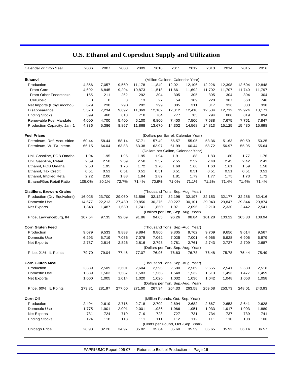| Calendar or Crop Year             | 2006   | 2007   | 2008   | 2009   | 2010   | 2011                             | 2012                                | 2013   | 2014   | 2015   | 2016   |
|-----------------------------------|--------|--------|--------|--------|--------|----------------------------------|-------------------------------------|--------|--------|--------|--------|
| <b>Ethanol</b>                    |        |        |        |        |        | (Million Gallons, Calendar Year) |                                     |        |        |        |        |
| Production                        | 4,856  | 7,057  | 9,560  | 11,178 | 11,849 | 12,021                           | 12,106                              | 12,226 | 12,398 | 12,604 | 12,848 |
| From Corn                         | 4,692  | 6,845  | 9,294  | 10,873 | 11,518 | 11,661                           | 11,692                              | 11,702 | 11,707 | 11,740 | 11,797 |
| From Other Feedstocks             | 165    | 211    | 262    | 292    | 304    | 305                              | 305                                 | 305    | 304    | 304    | 304    |
| Cellulosic                        | 0      | 0      | 3      | 13     | 27     | 54                               | 109                                 | 220    | 387    | 560    | 746    |
| Net Imports (Ethyl Alcohol)       | 679    | 238    | 290    | 292    | 299    | 305                              | 311                                 | 317    | 326    | 333    | 338    |
| Disappearance                     | 5,370  | 7,234  | 9,692  | 11,369 | 12,102 | 12,312                           | 12,410                              | 12,534 | 12,712 | 12,924 | 13,171 |
| <b>Ending Stocks</b>              | 399    | 460    | 618    | 718    | 764    | 777                              | 785                                 | 794    | 806    | 819    | 834    |
| Renewable Fuel Mandate            | 4,000  | 4,700  | 5,400  | 6,100  | 6,800  | 7,400                            | 7,500                               | 7,588  | 7,675  | 7,761  | 7,847  |
| Production Capacity, Jan. 1       | 4,336  | 5,386  | 8,867  | 11,868 | 13,670 | 14,302                           | 14,568                              | 14,813 | 15,125 | 15,430 | 15,698 |
| <b>Fuel Prices</b>                |        |        |        |        |        |                                  | (Dollars per Barrel, Calendar Year) |        |        |        |        |
| Petroleum, Ref. Acquisition       | 60.44  | 58.44  | 58.14  | 57.71  | 57.49  | 56.57                            | 55.05                               | 53.36  | 51.63  | 50.59  | 50.25  |
| Petroleum, W. TX Interm.          | 66.15  | 64.04  | 63.83  | 63.38  | 62.97  | 61.99                            | 60.44                               | 58.72  | 56.97  | 55.95  | 55.64  |
|                                   |        |        |        |        |        |                                  | (Dollars per Gallon, Calendar Year) |        |        |        |        |
| Unl. Gasoline, FOB Omaha          | 1.94   | 1.95   | 1.96   | 1.95   | 1.94   | 1.91                             | 1.88                                | 1.83   | 1.80   | 1.77   | 1.76   |
| Unl. Gasoline, Retail             | 2.59   | 2.58   | 2.59   | 2.58   | 2.57   | 2.55                             | 2.52                                | 2.48   | 2.45   | 2.42   | 2.42   |
| Ethanol, FOB Omaha                | 2.58   | 1.95   | 1.76   | 1.72   | 1.70   | 1.68                             | 1.66                                | 1.63   | 1.61   | 1.59   | 1.58   |
| Ethanol, Tax Credit               | 0.51   | 0.51   | 0.51   | 0.51   | 0.51   | 0.51                             | 0.51                                | 0.51   | 0.51   | 0.51   | 0.51   |
| Ethanol, Implied Retail           | 2.72   | 2.06   | 1.88   | 1.84   | 1.82   | 1.81                             | 1.79                                | 1.77   | 1.75   | 1.73   | 1.72   |
| Ethanol/Gas Retail Ratio          | 105.0% | 80.1%  | 72.7%  | 71.4%  | 70.9%  | 71.0%                            | 71.1%                               | 71.2%  | 71.4%  | 71.4%  | 71.4%  |
| <b>Distillers, Brewers Grains</b> |        |        |        |        |        |                                  | (Thousand Tons, Sep.-Aug. Year)     |        |        |        |        |
| Production (Dry Equivalent)       | 16,025 | 23,700 | 29,060 | 31,596 | 32,127 | 32,198                           | 32,197                              | 32,153 | 32,177 | 32,286 | 32,416 |
| Domestic Use                      | 14,677 | 22,213 | 27,430 | 29,856 | 30,276 | 30,227                           | 30,101                              | 29,943 | 29,847 | 29,844 | 29,874 |
| Net Exports                       | 1,348  | 1,487  | 1,630  | 1,741  | 1,850  | 1,971                            | 2,096                               | 2,210  | 2,330  | 2,442  | 2,541  |
|                                   |        |        |        |        |        |                                  | (Dollars per Ton, Sep.-Aug. Year)   |        |        |        |        |
| Price, Lawrenceburg, IN           | 107.54 | 97.35  | 92.09  | 91.86  | 94.05  | 96.26                            | 98.84                               | 101.28 | 103.22 | 105.83 | 108.94 |
| <b>Corn Gluten Feed</b>           |        |        |        |        |        |                                  | (Thousand Tons, Sep.-Aug. Year)     |        |        |        |        |
| Production                        | 9,079  | 9,533  | 9,883  | 9,894  | 9,860  | 9,805                            | 9,762                               | 9,709  | 9,656  | 9,614  | 9,567  |
| Domestic Use                      | 6,293  | 6,719  | 7,056  | 7,078  | 7,062  | 7,025                            | 7,001                               | 6,965  | 6,928  | 6,906  | 6,879  |
| Net Exports                       | 2,787  | 2,814  | 2,826  | 2,816  | 2,798  | 2,781                            | 2,761                               | 2,743  | 2,727  | 2,709  | 2,687  |
|                                   |        |        |        |        |        |                                  | (Dollars per Ton, Sep.-Aug. Year)   |        |        |        |        |
| Price, 21%, IL Points             | 79.70  | 79.04  | 77.45  | 77.07  | 76.96  | 76.63                            | 76.78                               | 76.48  | 75.78  | 75.44  | 75.49  |
| <b>Corn Gluten Meal</b>           |        |        |        |        |        |                                  | (Thousand Tons, Sep.-Aug. Year)     |        |        |        |        |
| Production                        | 2,389  | 2,509  | 2,601  | 2,604  | 2,595  | 2,580                            | 2,569                               | 2,555  | 2,541  | 2,530  | 2,518  |
| Domestic Use                      | 1,389  | 1,503  | 1,587  | 1,583  | 1,568  | 1,548                            | 1,532                               | 1,513  | 1,493  | 1,477  | 1,459  |
| Net Exports                       | 1,000  | 1,005  | 1,014  | 1,020  | 1,026  | 1,032                            | 1,036                               | 1,042  | 1,048  | 1,053  | 1,058  |
|                                   |        |        |        |        |        |                                  | (Dollars per Ton, Sep.-Aug. Year)   |        |        |        |        |
| Price, 60%, IL Points             | 273.81 | 281.97 | 277.60 | 271.60 | 267.34 | 264.33                           | 263.58                              | 259.68 | 253.73 | 248.01 | 243.93 |
| Corn Oil                          |        |        |        |        |        | (Million Pounds, Oct.-Sep. Year) |                                     |        |        |        |        |
| Production                        | 2,494  | 2,619  | 2,715  | 2,718  | 2,709  | 2,694                            | 2,682                               | 2,667  | 2,653  | 2,641  | 2,628  |
| Domestic Use                      | 1,775  | 1,901  | 2,001  | 2,001  | 1,986  | 1,966                            | 1,951                               | 1,933  | 1,917  | 1,903  | 1,889  |
| Net Exports                       | 731    | 724    | 719    | 719    | 723    | 727                              | 731                                 | 734    | 737    | 739    | 741    |
| <b>Ending Stocks</b>              | 124    | 118    | 113    | 111    | 111    | 112                              | 112                                 | 111    | 110    | 108    | 106    |
|                                   |        |        |        |        |        |                                  | (Cents per Pound, Oct.-Sep. Year)   |        |        |        |        |
| Chicago Price                     | 28.93  | 32.26  | 34.97  | 35.82  | 35.84  | 35.60                            | 35.59                               | 35.65  | 35.92  | 36.14  | 36.57  |

# **U.S. Ethanol and Coproduct Supply and Utilization**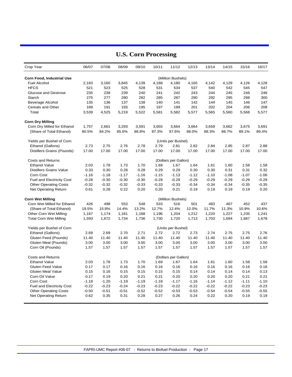| Crop Year                        | 06/07   | 07/08   | 08/09   | 09/10   | 10/11   | 11/12                | 12/13   | 13/14   | 14/15   | 15/16   | 16/17   |
|----------------------------------|---------|---------|---------|---------|---------|----------------------|---------|---------|---------|---------|---------|
| Corn Food, Industrial Use        |         |         |         |         |         | (Million Bushels)    |         |         |         |         |         |
| <b>Fuel Alcohol</b>              | 2,183   | 3,160   | 3,845   | 4,139   | 4,188   | 4,180                | 4,165   | 4,142   | 4,129   | 4,126   | 4,128   |
| <b>HFCS</b>                      | 521     | 523     | 525     | 528     | 531     | 534                  | 537     | 540     | 542     | 545     | 547     |
| Glucose and Dextrose             | 235     | 238     | 239     | 240     | 241     | 242                  | 243     | 244     | 245     | 246     | 246     |
| Starch                           | 275     | 277     | 280     | 282     | 285     | 287                  | 290     | 292     | 295     | 298     | 300     |
| Beverage Alcohol                 | 135     | 136     | 137     | 138     | 140     | 141                  | 142     | 144     | 145     | 146     | 147     |
| Cereals and Other                | 189     | 191     | 193     | 195     | 197     | 199                  | 201     | 202     | 204     | 206     | 208     |
| Total                            | 3,539   | 4,525   | 5,219   | 5,522   | 5,581   | 5,582                | 5,577   | 5,565   | 5,560   | 5,568   | 5,577   |
| <b>Corn Dry Milling</b>          |         |         |         |         |         |                      |         |         |         |         |         |
| Corn Dry Milled for Ethanol      | 1,757   | 2,661   | 3,293   | 3,591   | 3,655   | 3,664                | 3,664   | 3,659   | 3,662   | 3,675   | 3,691   |
| (Share of Total Ethanol)         | 80.5%   | 84.2%   | 85.6%   | 86.8%   | 87.3%   | 87.6%                | 88.0%   | 88.3%   | 88.7%   | 89.1%   | 89.4%   |
| Yields per Bushel of Corn        |         |         |         |         |         | (Units per Bushel)   |         |         |         |         |         |
| Ethanol (Gallons)                | 2.73    | 2.75    | 2.76    | 2.78    | 2.79    | 2.81                 | 2.82    | 2.84    | 2.85    | 2.87    | 2.88    |
| Distillers Grains (Pounds)       | 17.00   | 17.00   | 17.00   | 17.00   | 17.00   | 17.00                | 17.00   | 17.00   | 17.00   | 17.00   | 17.00   |
| <b>Costs and Returns</b>         |         |         |         |         |         | (Dollars per Gallon) |         |         |         |         |         |
| <b>Ethanol Value</b>             | 2.03    | 1.78    | 1.73    | 1.70    | 1.69    | 1.67                 | 1.64    | 1.61    | 1.60    | 1.58    | 1.58    |
| <b>Distillers Grains Value</b>   | 0.33    | 0.30    | 0.28    | 0.28    | 0.29    | 0.29                 | 0.30    | 0.30    | 0.31    | 0.31    | 0.32    |
| Corn Cost                        | $-1.16$ | $-1.18$ | $-1.17$ | $-1.16$ | $-1.15$ | $-1.13$              | $-1.12$ | $-1.10$ | $-1.08$ | $-1.07$ | $-1.06$ |
| <b>Fuel and Electricity Cost</b> | $-0.28$ | $-0.30$ | $-0.30$ | $-0.30$ | $-0.29$ | $-0.29$              | $-0.29$ | $-0.29$ | $-0.29$ | $-0.29$ | $-0.29$ |
| <b>Other Operating Costs</b>     | $-0.32$ | $-0.32$ | $-0.32$ | $-0.33$ | $-0.33$ | $-0.33$              | $-0.34$ | $-0.34$ | $-0.34$ | $-0.35$ | $-0.35$ |
| <b>Net Operating Return</b>      | 0.61    | 0.28    | 0.22    | 0.20    | 0.20    | 0.21                 | 0.19    | 0.19    | 0.19    | 0.19    | 0.20    |
| <b>Corn Wet Milling</b>          |         |         |         |         |         | (Million Bushels)    |         |         |         |         |         |
| Corn Wet Milled for Ethanol      | 426     | 498     | 553     | 548     | 533     | 516                  | 501     | 483     | 467     | 452     | 437     |
| (Share of Total Ethanol)         | 19.5%   | 15.8%   | 14.4%   | 13.2%   | 12.7%   | 12.4%                | 12.0%   | 11.7%   | 11.3%   | 10.9%   | 10.6%   |
| Other Corn Wet Milling           | 1,167   | 1,174   | 1,181   | 1,188   | 1,196   | 1,204                | 1,212   | 1,220   | 1,227   | 1,235   | 1,241   |
| <b>Total Corn Wet Milling</b>    | 1,593   | 1,672   | 1,734   | 1,736   | 1,730   | 1,720                | 1,713   | 1,703   | 1,694   | 1,687   | 1,678   |
| Yields per Bushel of Corn        |         |         |         |         |         | (Units per Bushel)   |         |         |         |         |         |
| Ethanol (Gallons)                | 2.69    | 2.69    | 2.70    | 2.71    | 2.72    | 2.72                 | 2.73    | 2.74    | 2.75    | 2.75    | 2.76    |
| Gluten Feed (Pounds)             | 11.40   | 11.40   | 11.40   | 11.40   | 11.40   | 11.40                | 11.40   | 11.40   | 11.40   | 11.40   | 11.40   |
| Gluten Meal (Pounds)             | 3.00    | 3.00    | 3.00    | 3.00    | 3.00    | 3.00                 | 3.00    | 3.00    | 3.00    | 3.00    | 3.00    |
| Corn Oil (Pounds)                | 1.57    | 1.57    | 1.57    | 1.57    | 1.57    | 1.57                 | 1.57    | 1.57    | 1.57    | 1.57    | 1.57    |
| <b>Costs and Returns</b>         |         |         |         |         |         | (Dollars per Gallon) |         |         |         |         |         |
| <b>Ethanol Value</b>             | 2.03    | 1.78    | 1.73    | 1.70    | 1.69    | 1.67                 | 1.64    | 1.61    | 1.60    | 1.58    | 1.58    |
| <b>Gluten Feed Value</b>         | 0.17    | 0.17    | 0.16    | 0.16    | 0.16    | 0.16                 | 0.16    | 0.16    | 0.16    | 0.16    | 0.16    |
| <b>Gluten Meal Value</b>         | 0.15    | 0.16    | 0.15    | 0.15    | 0.15    | 0.15                 | 0.14    | 0.14    | 0.14    | 0.14    | 0.13    |
| Corn Oil Value                   | 0.17    | 0.19    | 0.20    | 0.21    | 0.21    | 0.20                 | 0.20    | 0.20    | 0.20    | 0.21    | 0.21    |
| Corn Cost                        | $-1.18$ | $-1.20$ | $-1.19$ | $-1.19$ | $-1.18$ | $-1.17$              | $-1.16$ | $-1.14$ | $-1.12$ | $-1.11$ | $-1.10$ |
| <b>Fuel and Electricity Cost</b> | $-0.22$ | $-0.23$ | $-0.24$ | $-0.23$ | $-0.23$ | $-0.22$              | $-0.22$ | $-0.22$ | $-0.22$ | $-0.23$ | $-0.23$ |
| <b>Other Operating Costs</b>     | $-0.50$ | $-0.51$ | $-0.51$ | $-0.52$ | $-0.52$ | $-0.53$              | $-0.53$ | $-0.54$ | $-0.54$ | $-0.55$ | $-0.55$ |
| <b>Net Operating Return</b>      | 0.62    | 0.35    | 0.31    | 0.28    | 0.27    | 0.26                 | 0.24    | 0.22    | 0.20    | 0.19    | 0.19    |
|                                  |         |         |         |         |         |                      |         |         |         |         |         |

## **U.S. Corn Processing**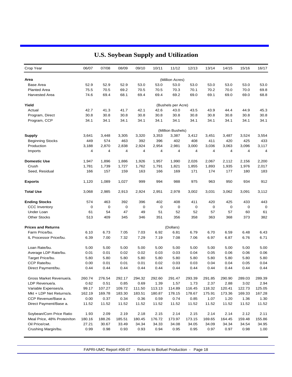| Crop Year                   | 06/07          | 07/08  | 08/09       | 09/10          | 10/11       | 11/12              | 12/13  | 13/14  | 14/15  | 15/16  | 16/17  |
|-----------------------------|----------------|--------|-------------|----------------|-------------|--------------------|--------|--------|--------|--------|--------|
| Area                        |                |        |             |                |             | (Million Acres)    |        |        |        |        |        |
| <b>Base Area</b>            | 52.9           | 52.9   | 52.9        | 53.0           | 53.0        | 53.0               | 53.0   | 53.0   | 53.0   | 53.0   | 53.0   |
| <b>Planted Area</b>         | 75.5           | 70.5   | 69.2        | 70.5           | 70.5        | 70.3               | 70.1   | 70.2   | 70.0   | 70.0   | 69.8   |
| <b>Harvested Area</b>       | 74.6           | 69.4   | 68.1        | 69.4           | 69.4        | 69.2               | 69.0   | 69.1   | 69.0   | 69.0   | 68.8   |
| Yield                       |                |        |             |                |             | (Bushels per Acre) |        |        |        |        |        |
| Actual                      | 42.7           | 41.3   | 41.7        | 42.1           | 42.6        | 43.0               | 43.5   | 43.9   | 44.4   | 44.9   | 45.3   |
| Program, Direct             | 30.8           | 30.8   | 30.8        | 30.8           | 30.8        | 30.8               | 30.8   | 30.8   | 30.8   | 30.8   | 30.8   |
| Program, CCP                | 34.1           | 34.1   | 34.1        | 34.1           | 34.1        | 34.1               | 34.1   | 34.1   | 34.1   | 34.1   | 34.1   |
|                             |                |        |             |                |             | (Million Bushels)  |        |        |        |        |        |
| <b>Supply</b>               | 3,641          | 3,448  | 3,305       | 3,320          | 3,353       | 3,387              | 3,412  | 3,451  | 3,487  | 3,524  | 3,554  |
| <b>Beginning Stocks</b>     | 449            | 574    | 463         | 392            | 396         | 402                | 408    | 411    | 420    | 425    | 433    |
| Production                  | 3,188          | 2,870  | 2,838       | 2,924          | 2,954       | 2,981              | 3,000  | 3,036  | 3,063  | 3,096  | 3,117  |
| Imports                     | $\overline{4}$ | 4      | 4           | $\overline{4}$ | 4           | 4                  | 4      | 4      | 4      | 4      | 4      |
| <b>Domestic Use</b>         | 1,947          | 1,896  | 1,886       | 1,926          | 1,957       | 1,990              | 2,026  | 2,067  | 2.112  | 2,156  | 2,200  |
| Crush                       | 1,781          | 1,739  | 1,727       | 1,762          | 1,791       | 1,821              | 1,855  | 1,893  | 1,935  | 1,976  | 2,017  |
| Seed, Residual              | 166            | 157    | 159         | 163            | 166         | 169                | 171    | 174    | 177    | 180    | 183    |
| <b>Exports</b>              | 1,120          | 1,089  | 1,027       | 999            | 994         | 988                | 975    | 963    | 950    | 934    | 912    |
| <b>Total Use</b>            | 3,068          | 2,985  | 2,913       | 2,924          | 2,951       | 2,978              | 3,002  | 3,031  | 3,062  | 3,091  | 3,112  |
| <b>Ending Stocks</b>        | 574            | 463    | 392         | 396            | 402         | 408                | 411    | 420    | 425    | 433    | 443    |
| <b>CCC Inventory</b>        | 0              | 0      | $\mathbf 0$ | 0              | $\mathbf 0$ | 0                  | 0      | 0      | 0      | 0      | 0      |
| Under Loan                  | 61             | 54     | 47          | 49             | 51          | 52                 | 52     | 57     | 57     | 60     | 61     |
| <b>Other Stocks</b>         | 513            | 409    | 345         | 346            | 351         | 356                | 358    | 363    | 368    | 373    | 382    |
| <b>Prices and Returns</b>   |                |        |             |                |             | (Dollars)          |        |        |        |        |        |
| Farm Price/bu.              | 6.10           | 6.73   | 7.05        | 7.03           | 6.92        | 6.81               | 6.79   | 6.70   | 6.59   | 6.48   | 6.43   |
| IL Processor Price/bu.      | 6.39           | 7.00   | 7.32        | 7.29           | 7.19        | 7.08               | 7.06   | 6.97   | 6.87   | 6.76   | 6.71   |
| Loan Rate/bu.               | 5.00           | 5.00   | 5.00        | 5.00           | 5.00        | 5.00               | 5.00   | 5.00   | 5.00   | 5.00   | 5.00   |
| Average LDP Rate/bu.        | 0.01           | 0.01   | 0.02        | 0.02           | 0.03        | 0.03               | 0.04   | 0.05   | 0.06   | 0.06   | 0.06   |
| Target Price/bu.            | 5.80           | 5.80   | 5.80        | 5.80           | 5.80        | 5.80               | 5.80   | 5.80   | 5.80   | 5.80   | 5.80   |
| CCP Rate/bu.                | 0.00           | 0.01   | 0.01        | 0.01           | 0.02        | 0.03               | 0.03   | 0.04   | 0.04   | 0.05   | 0.04   |
| Direct Payment/bu.          | 0.44           | 0.44   | 0.44        | 0.44           | 0.44        | 0.44               | 0.44   | 0.44   | 0.44   | 0.44   | 0.44   |
| Gross Market Revenue/a.     | 260.74         | 276.54 | 292.17      | 294.32         | 292.60      | 291.47             | 293.39 | 291.85 | 290.90 | 289.03 | 289.39 |
| LDP Revenue/a.              | 0.62           | 0.51   | 0.85        | 0.69           | 1.39        | 1.57               | 1.73   | 2.37   | 2.88   | 3.02   | 2.94   |
| Variable Expenses/a.        | 99.17          | 107.27 | 109.72      | 111.50         | 113.13      | 114.89             | 116.45 | 118.32 | 120.41 | 122.73 | 125.05 |
| Mkt + LDP Net Returns/a.    | 162.19         | 169.78 | 183.30      | 183.51         | 180.87      | 178.15             | 178.67 | 175.91 | 173.36 | 169.33 | 167.28 |
| CCP Revenue/Base a.         | 0.00           | 0.37   | 0.34        | 0.36           | 0.59        | 0.74               | 0.85   | 1.07   | 1.20   | 1.36   | 1.30   |
| Direct Payment/Base a.      | 11.52          | 11.52  | 11.52       | 11.52          | 11.52       | 11.52              | 11.52  | 11.52  | 11.52  | 11.52  | 11.52  |
| Soybean/Corn Price Ratio    | 1.93           | 2.09   | 2.19        | 2.18           | 2.15        | 2.14               | 2.15   | 2.14   | 2.14   | 2.12   | 2.11   |
| Meal Price, 48% Protein/ton | 180.16         | 188.26 | 185.51      | 180.45         | 176.72      | 173.97             | 173.15 | 169.65 | 164.45 | 159.48 | 155.86 |
| Oil Price/cwt.              | 27.21          | 30.67  | 33.49       | 34.34          | 34.33       | 34.08              | 34.05  | 34.09  | 34.34  | 34.54  | 34.95  |
| Crushing Margin/bu.         | 0.99           | 0.98   | 0.93        | 0.93           | 0.94        | 0.95               | 0.95   | 0.97   | 0.97   | 0.98   | 1.00   |

# **U.S. Soybean Supply and Utilization**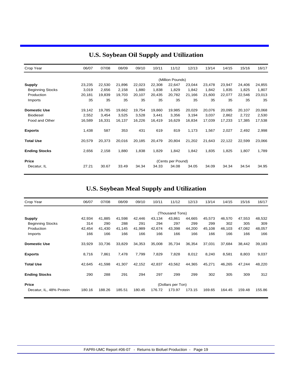| Crop Year               | 06/07  | 07/08  | 08/09  | 09/10  | 10/11  | 11/12             | 12/13  | 13/14  | 14/15  | 15/16  | 16/17  |
|-------------------------|--------|--------|--------|--------|--------|-------------------|--------|--------|--------|--------|--------|
|                         |        |        |        |        |        | (Million Pounds)  |        |        |        |        |        |
| <b>Supply</b>           | 23,235 | 22,530 | 21,896 | 22,023 | 22,308 | 22,647            | 23,044 | 23,478 | 23,947 | 24,406 | 24,855 |
| <b>Beginning Stocks</b> | 3,019  | 2,656  | 2,158  | 1,880  | 1,838  | 1,829             | 1,842  | 1,842  | 1,835  | 1,825  | 1,807  |
| Production              | 20,181 | 19,839 | 19,703 | 20,107 | 20,435 | 20,782            | 21,166 | 21,600 | 22,077 | 22,546 | 23,013 |
| Imports                 | 35     | 35     | 35     | 35     | 35     | 35                | 35     | 35     | 35     | 35     | 35     |
| <b>Domestic Use</b>     | 19,142 | 19,785 | 19,662 | 19,754 | 19,860 | 19.985            | 20,029 | 20,076 | 20,095 | 20,107 | 20,068 |
| <b>Biodiesel</b>        | 2,552  | 3,454  | 3,525  | 3,528  | 3,441  | 3,356             | 3,194  | 3,037  | 2,862  | 2,722  | 2,530  |
| Food and Other          | 16,589 | 16,331 | 16,137 | 16,226 | 16,419 | 16,629            | 16,834 | 17,039 | 17,233 | 17,385 | 17,538 |
| <b>Exports</b>          | 1,438  | 587    | 353    | 431    | 619    | 819               | 1,173  | 1,567  | 2,027  | 2,492  | 2,998  |
| <b>Total Use</b>        | 20,579 | 20,373 | 20,016 | 20,185 | 20,479 | 20,804            | 21,202 | 21,643 | 22,122 | 22,599 | 23,066 |
| <b>Ending Stocks</b>    | 2,656  | 2,158  | 1,880  | 1,838  | 1,829  | 1,842             | 1,842  | 1,835  | 1,825  | 1,807  | 1,789  |
| <b>Price</b>            |        |        |        |        |        | (Cents per Pound) |        |        |        |        |        |
| Decatur, IL             | 27.21  | 30.67  | 33.49  | 34.34  | 34.33  | 34.08             | 34.05  | 34.09  | 34.34  | 34.54  | 34.95  |

## **U.S. Soybean Oil Supply and Utilization**

## **U.S. Soybean Meal Supply and Utilization**

| Crop Year                | 06/07  | 07/08  | 08/09  | 09/10  | 10/11  | 11/12             | 12/13  | 13/14  | 14/15  | 15/16  | 16/17  |
|--------------------------|--------|--------|--------|--------|--------|-------------------|--------|--------|--------|--------|--------|
|                          |        |        |        |        |        | (Thousand Tons)   |        |        |        |        |        |
| <b>Supply</b>            | 42,934 | 41,885 | 41,598 | 42,446 | 43,134 | 43,861            | 44,665 | 45,573 | 46,570 | 47,553 | 48,532 |
| <b>Beginning Stocks</b>  | 314    | 290    | 288    | 291    | 294    | 297               | 299    | 299    | 302    | 305    | 309    |
| Production               | 42,454 | 41,430 | 41,145 | 41,989 | 42,674 | 43,398            | 44,200 | 45,108 | 46,103 | 47,082 | 48,057 |
| Imports                  | 166    | 166    | 166    | 166    | 166    | 166               | 166    | 166    | 166    | 166    | 166    |
| <b>Domestic Use</b>      | 33,929 | 33,736 | 33,829 | 34,353 | 35,008 | 35,734            | 36,354 | 37,031 | 37,684 | 38,442 | 39,183 |
| <b>Exports</b>           | 8,716  | 7,861  | 7,478  | 7,799  | 7,829  | 7,828             | 8,012  | 8,240  | 8,581  | 8,803  | 9,037  |
| <b>Total Use</b>         | 42,645 | 41,598 | 41,307 | 42,152 | 42,837 | 43,562            | 44,365 | 45,271 | 46,265 | 47,244 | 48,220 |
| <b>Ending Stocks</b>     | 290    | 288    | 291    | 294    | 297    | 299               | 299    | 302    | 305    | 309    | 312    |
| <b>Price</b>             |        |        |        |        |        | (Dollars per Ton) |        |        |        |        |        |
| Decatur, IL, 48% Protein | 180.16 | 188.26 | 185.51 | 180.45 | 176.72 | 173.97            | 173.15 | 169.65 | 164.45 | 159.48 | 155.86 |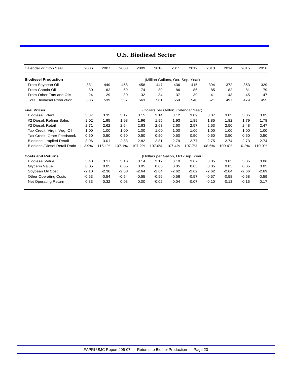| Calendar or Crop Year                | 2006    | 2007    | 2008    | 2009    | 2010    | 2011                                 | 2012    | 2013    | 2014    | 2015    | 2016    |
|--------------------------------------|---------|---------|---------|---------|---------|--------------------------------------|---------|---------|---------|---------|---------|
| <b>Biodiesel Production</b>          |         |         |         |         |         | (Million Gallons, Oct.-Sep. Year)    |         |         |         |         |         |
| From Soybean Oil                     | 331     | 449     | 458     | 458     | 447     | 436                                  | 415     | 394     | 372     | 353     | 329     |
| From Canola Oil                      | 30      | 62      | 69      | 74      | 80      | 86                                   | 86      | 85      | 82      | 81      | 79      |
| From Other Fats and Oils             | 24      | 29      | 30      | 32      | 34      | 37                                   | 39      | 41      | 43      | 45      | 47      |
| <b>Total Biodiesel Production</b>    | 386     | 539     | 557     | 563     | 561     | 559                                  | 540     | 521     | 497     | 479     | 455     |
| <b>Fuel Prices</b>                   |         |         |         |         |         | (Dollars per Gallon, Calendar Year)  |         |         |         |         |         |
| Biodiesel, Plant                     | 3.37    | 3.35    | 3.17    | 3.15    | 3.14    | 3.12                                 | 3.09    | 3.07    | 3.05    | 3.05    | 3.05    |
| #2 Diesel, Refiner Sales             | 2.02    | 1.95    | 1.98    | 1.96    | 1.95    | 1.93                                 | 1.89    | 1.85    | 1.82    | 1.79    | 1.78    |
| #2 Diesel, Retail                    | 2.71    | 2.62    | 2.64    | 2.63    | 2.63    | 2.60                                 | 2.57    | 2.53    | 2.50    | 2.48    | 2.47    |
| Tax Credit, Virgin Veg. Oil          | 1.00    | 1.00    | 1.00    | 1.00    | 1.00    | 1.00                                 | 1.00    | 1.00    | 1.00    | 1.00    | 1.00    |
| Tax Credit. Other Feedstock          | 0.50    | 0.50    | 0.50    | 0.50    | 0.50    | 0.50                                 | 0.50    | 0.50    | 0.50    | 0.50    | 0.50    |
| Biodiesel, Implied Retail            | 3.06    | 3.01    | 2.83    | 2.82    | 2.81    | 2.79                                 | 2.77    | 2.75    | 2.74    | 2.73    | 2.74    |
| <b>Biodiesel/Diesel Retail Ratio</b> | 112.9%  | 115.1%  | 107.1%  | 107.2%  | 107.0%  | 107.4%                               | 107.7%  | 108.6%  | 109.4%  | 110.2%  | 110.9%  |
| <b>Costs and Returns</b>             |         |         |         |         |         | (Dollars per Gallon, Oct.-Sep. Year) |         |         |         |         |         |
| <b>Biodiesel Value</b>               | 3.40    | 3.17    | 3.16    | 3.14    | 3.12    | 3.10                                 | 3.07    | 3.05    | 3.05    | 3.05    | 3.06    |
| Glycerin Value                       | 0.05    | 0.05    | 0.05    | 0.05    | 0.05    | 0.05                                 | 0.05    | 0.05    | 0.05    | 0.05    | 0.05    |
| Soybean Oil Cost                     | $-2.10$ | $-2.36$ | $-2.58$ | $-2.64$ | $-2.64$ | $-2.62$                              | $-2.62$ | $-2.62$ | $-2.64$ | $-2.66$ | $-2.69$ |
| <b>Other Operating Costs</b>         | $-0.53$ | $-0.54$ | $-0.54$ | $-0.55$ | $-0.56$ | $-0.56$                              | $-0.57$ | $-0.57$ | $-0.58$ | $-0.58$ | $-0.59$ |
| Net Operating Return                 | 0.83    | 0.32    | 0.08    | 0.00    | $-0.02$ | $-0.04$                              | $-0.07$ | $-0.10$ | $-0.13$ | $-0.15$ | $-0.17$ |

## **U.S. Biodiesel Sector**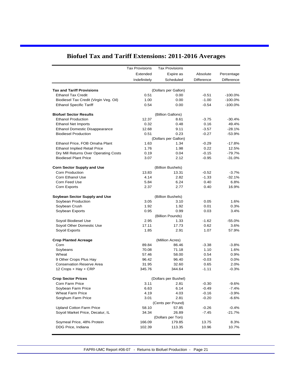|                                        | <b>Tax Provisions</b> | <b>Tax Provisions</b> |                   |            |
|----------------------------------------|-----------------------|-----------------------|-------------------|------------|
|                                        | Extended              | Expire as             | Absolute          | Percentage |
|                                        | Indefinitely          | Scheduled             | <b>Difference</b> | Difference |
|                                        |                       |                       |                   |            |
| <b>Tax and Tariff Provisions</b>       |                       | (Dollars per Gallon)  |                   |            |
| <b>Ethanol Tax Credit</b>              | 0.51                  | 0.00                  | $-0.51$           | $-100.0%$  |
| Biodiesel Tax Credit (Virgin Veg. Oil) | 1.00                  | 0.00                  | $-1.00$           | $-100.0%$  |
| <b>Ethanol Specific Tariff</b>         | 0.54                  | 0.00                  | $-0.54$           | $-100.0%$  |
| <b>Biofuel Sector Results</b>          |                       | (Billion Gallons)     |                   |            |
| <b>Ethanol Production</b>              | 12.37                 | 8.61                  | $-3.75$           | $-30.4%$   |
| <b>Ethanol Net Imports</b>             | 0.32                  | 0.48                  | 0.16              | 49.4%      |
| <b>Ethanol Domestic Disappearance</b>  | 12.68                 | 9.11                  | $-3.57$           | $-28.1%$   |
| <b>Biodiesel Production</b>            | 0.51                  | 0.23                  | $-0.27$           | $-53.9%$   |
|                                        |                       | (Dollars per Gallon)  |                   |            |
| Ethanol Price, FOB Omaha Plant         | 1.63                  | 1.34                  | $-0.29$           | $-17.8%$   |
| <b>Ethanol Implied Retail Price</b>    | 1.76                  | 1.98                  | 0.22              | 12.5%      |
| Dry Mill Returns Over Operating Costs  | 0.19                  | 0.04                  | $-0.15$           | $-79.7%$   |
| <b>Biodiesel Plant Price</b>           | 3.07                  | 2.12                  | $-0.95$           | $-31.0%$   |
| <b>Corn Sector Supply and Use</b>      |                       | (Billion Bushels)     |                   |            |
| Corn Production                        | 13.83                 | 13.31                 | $-0.52$           | $-3.7%$    |
| Corn Ethanol Use                       | 4.14                  | 2.82                  | $-1.33$           | $-32.1%$   |
| Corn Feed Use                          | 5.84                  | 6.24                  | 0.40              | 6.8%       |
| Corn Exports                           | 2.37                  | 2.77                  | 0.40              | 16.9%      |
| Soybean Sector Supply and Use          |                       | (Billion Bushels)     |                   |            |
| Soybean Production                     | 3.05                  | 3.10                  | 0.05              | 1.6%       |
| Soybean Crush                          | 1.92                  | 1.92                  | 0.01              | 0.3%       |
| Soybean Exports                        | 0.95                  | 0.99                  | 0.03              | 3.4%       |
|                                        |                       | (Billion Pounds)      |                   |            |
| Soyoil Biodiesel Use                   | 2.95                  | 1.33                  | $-1.62$           | $-55.0%$   |
| Soyoil Other Domestic Use              | 17.11                 | 17.73                 | 0.62              | 3.6%       |
| Soyoil Exports                         | 1.85                  | 2.91                  | 1.07              | 57.9%      |
| <b>Crop Planted Acreage</b>            |                       | (Million Acres)       |                   |            |
| Corn                                   | 89.84                 | 86.46                 | $-3.38$           | $-3.8%$    |
| Soybeans                               | 70.08                 | 71.18                 | 1.10              | 1.6%       |
| Wheat                                  | 57.46                 | 58.00                 | 0.54              | 0.9%       |
| 9 Other Crops Plus Hay                 | 96.42                 | 96.40                 | $-0.03$           | 0.0%       |
| <b>Conservation Reserve Area</b>       | 31.95                 | 32.60                 | 0.65              | 2.0%       |
| 12 Crops + Hay + CRP                   | 345.76                | 344.64                | $-1.11$           | $-0.3%$    |
| <b>Crop Sector Prices</b>              |                       | (Dollars per Bushel)  |                   |            |
| Corn Farm Price                        | 3.11                  | 2.81                  | $-0.30$           | $-9.6%$    |
| Soybean Farm Price                     | 6.63                  | 6.14                  | $-0.49$           | -7.4%      |
| <b>Wheat Farm Price</b>                | 4.19                  | 4.03                  | $-0.16$           | $-3.9%$    |
| Sorghum Farm Price                     | 3.01                  | 2.81                  | $-0.20$           | $-6.6%$    |
|                                        |                       | (Cents per Pound)     |                   |            |
| <b>Upland Cotton Farm Price</b>        | 58.10                 | 57.85                 | $-0.26$           | $-0.4%$    |
| Soyoil Market Price, Decatur, IL       | 34.34                 | 26.89                 | $-7.45$           | $-21.7%$   |
|                                        |                       | (Dollars per Ton)     |                   |            |
| Soymeal Price, 48% Protein             | 166.09                | 179.85                | 13.75             | 8.3%       |
| DDG Price, Indiana                     | 102.39                | 113.35                | 10.96             | 10.7%      |
|                                        |                       |                       |                   |            |

# **Biofuel Tax and Tariff Extensions: 2011-2016 Averages**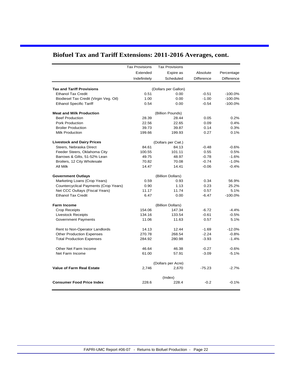|  |  |  | Biofuel Tax and Tariff Extensions: 2011-2016 Averages, cont. |  |  |  |
|--|--|--|--------------------------------------------------------------|--|--|--|
|--|--|--|--------------------------------------------------------------|--|--|--|

|                                                              | <b>Tax Provisions</b> | <b>Tax Provisions</b>       |            |            |
|--------------------------------------------------------------|-----------------------|-----------------------------|------------|------------|
|                                                              | Extended              | Expire as                   | Absolute   | Percentage |
|                                                              | Indefinitely          | Scheduled                   | Difference | Difference |
|                                                              |                       |                             |            |            |
| <b>Tax and Tariff Provisions</b>                             |                       | (Dollars per Gallon)        |            |            |
| <b>Ethanol Tax Credit</b>                                    | 0.51                  | 0.00                        | $-0.51$    | $-100.0%$  |
| Biodiesel Tax Credit (Virgin Veg. Oil)                       | 1.00                  | 0.00                        | $-1.00$    | $-100.0%$  |
| <b>Ethanol Specific Tariff</b>                               | 0.54                  | 0.00                        | $-0.54$    | $-100.0%$  |
| <b>Meat and Milk Production</b>                              |                       | (Billion Pounds)            |            |            |
| <b>Beef Production</b>                                       | 28.39                 | 28.44                       | 0.05       | 0.2%       |
| Pork Production                                              | 22.56                 | 22.65                       | 0.09       | 0.4%       |
| <b>Broiler Production</b>                                    | 39.73                 | 39.87                       | 0.14       | 0.3%       |
| Milk Production                                              | 199.66                | 199.93                      | 0.27       | 0.1%       |
|                                                              |                       |                             |            |            |
| <b>Livestock and Dairy Prices</b><br>Steers, Nebraska Direct | 84.61                 | (Dollars per Cwt.)<br>84.13 | $-0.48$    | $-0.6%$    |
| Feeder Steers, Oklahoma City                                 | 100.55                | 101.11                      | 0.55       | 0.5%       |
| Barrows & Gilts, 51-52% Lean                                 | 49.75                 | 48.97                       | $-0.78$    | $-1.6%$    |
| Broilers, 12 City Wholesale                                  | 70.82                 | 70.08                       | $-0.74$    | $-1.0%$    |
|                                                              | 14.47                 |                             |            |            |
| All Milk                                                     |                       | 14.41                       | $-0.06$    | $-0.4%$    |
| <b>Government Outlays</b>                                    |                       | (Billion Dollars)           |            |            |
| Marketing Loans (Crop Years)                                 | 0.59                  | 0.93                        | 0.34       | 56.9%      |
| Countercyclical Payments (Crop Years)                        | 0.90                  | 1.13                        | 0.23       | 25.2%      |
| Net CCC Oultays (Fiscal Years)                               | 11.17                 | 11.74                       | 0.57       | 5.1%       |
| <b>Ethanol Tax Credit</b>                                    | 6.47                  | 0.00                        | $-6.47$    | $-100.0%$  |
| <b>Farm Income</b>                                           |                       | (Billion Dollars)           |            |            |
| <b>Crop Receipts</b>                                         | 154.06                | 147.34                      | $-6.72$    | $-4.4%$    |
| <b>Livestock Receipts</b>                                    | 134.16                | 133.54                      | $-0.61$    | $-0.5%$    |
| <b>Government Payments</b>                                   | 11.06                 | 11.63                       | 0.57       | 5.1%       |
|                                                              |                       |                             |            |            |
| Rent to Non-Operator Landlords                               | 14.13                 | 12.44                       | $-1.69$    | $-12.0%$   |
| <b>Other Production Expenses</b>                             | 270.78                | 268.54                      | $-2.24$    | $-0.8%$    |
| <b>Total Production Expenses</b>                             | 284.92                | 280.98                      | $-3.93$    | $-1.4%$    |
| Other Net Farm Income                                        | 46.64                 | 46.38                       | $-0.27$    | $-0.6%$    |
| Net Farm Income                                              | 61.00                 | 57.91                       | $-3.09$    | $-5.1%$    |
|                                                              |                       | (Dollars per Acre)          |            |            |
| <b>Value of Farm Real Estate</b>                             | 2,746                 | 2,670                       | $-75.23$   | $-2.7%$    |
|                                                              |                       |                             |            |            |
|                                                              |                       | (Index)                     |            |            |
| <b>Consumer Food Price Index</b>                             | 228.6                 | 228.4                       | $-0.2$     | $-0.1%$    |
|                                                              |                       |                             |            |            |